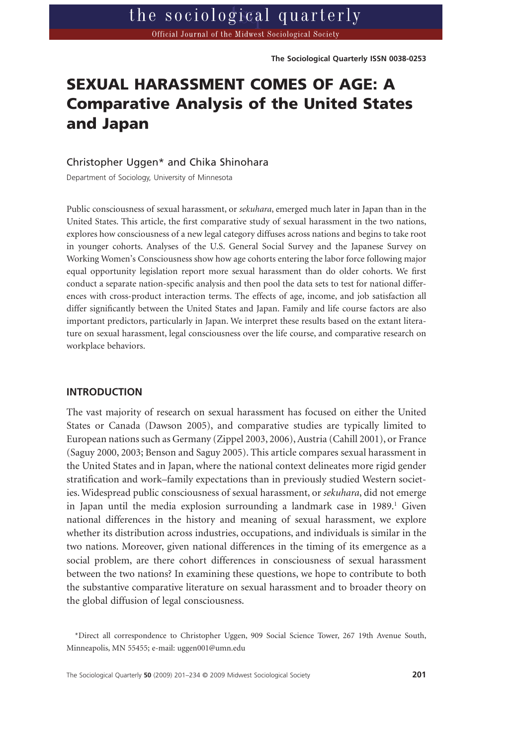# **SEXUAL HARASSMENT COMES OF AGE: A Comparative Analysis of the United States and Japan**

### Christopher Uggen\* and Chika Shinohara

Department of Sociology, University of Minnesota

Public consciousness of sexual harassment, or *sekuhara*, emerged much later in Japan than in the United States. This article, the first comparative study of sexual harassment in the two nations, explores how consciousness of a new legal category diffuses across nations and begins to take root in younger cohorts. Analyses of the U.S. General Social Survey and the Japanese Survey on Working Women's Consciousness show how age cohorts entering the labor force following major equal opportunity legislation report more sexual harassment than do older cohorts. We first conduct a separate nation-specific analysis and then pool the data sets to test for national differences with cross-product interaction terms. The effects of age, income, and job satisfaction all differ significantly between the United States and Japan. Family and life course factors are also important predictors, particularly in Japan. We interpret these results based on the extant literature on sexual harassment, legal consciousness over the life course, and comparative research on workplace behaviors.

#### **INTRODUCTION**

The vast majority of research on sexual harassment has focused on either the United States or Canada (Dawson 2005), and comparative studies are typically limited to European nations such as Germany (Zippel 2003, 2006), Austria (Cahill 2001), or France (Saguy 2000, 2003; Benson and Saguy 2005). This article compares sexual harassment in the United States and in Japan, where the national context delineates more rigid gender stratification and work–family expectations than in previously studied Western societies. Widespread public consciousness of sexual harassment, or *sekuhara*, did not emerge in Japan until the media explosion surrounding a landmark case in  $1989<sup>1</sup>$  Given national differences in the history and meaning of sexual harassment, we explore whether its distribution across industries, occupations, and individuals is similar in the two nations. Moreover, given national differences in the timing of its emergence as a social problem, are there cohort differences in consciousness of sexual harassment between the two nations? In examining these questions, we hope to contribute to both the substantive comparative literature on sexual harassment and to broader theory on the global diffusion of legal consciousness.

\*Direct all correspondence to Christopher Uggen, 909 Social Science Tower, 267 19th Avenue South, Minneapolis, MN 55455; e-mail: [uggen001@umn.edu](mailto:uggen001@umn.edu)

The Sociological Quarterly **50** (2009) 201–234 © 2009 Midwest Sociological Society **201**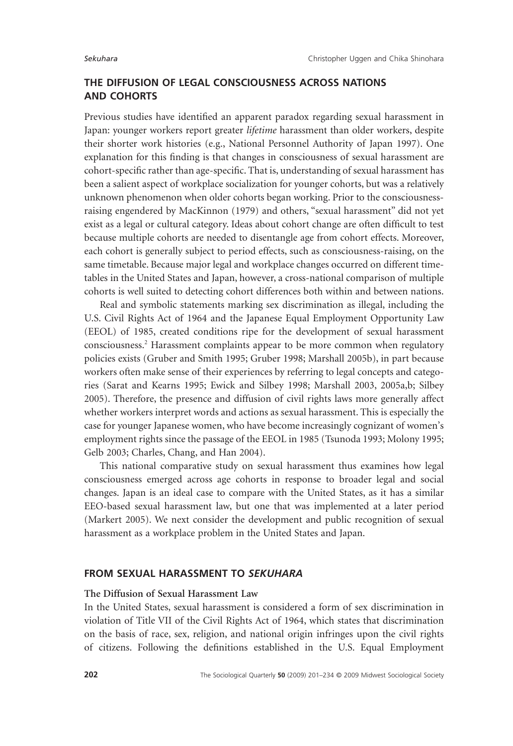# **THE DIFFUSION OF LEGAL CONSCIOUSNESS ACROSS NATIONS AND COHORTS**

Previous studies have identified an apparent paradox regarding sexual harassment in Japan: younger workers report greater *lifetime* harassment than older workers, despite their shorter work histories (e.g., National Personnel Authority of Japan 1997). One explanation for this finding is that changes in consciousness of sexual harassment are cohort-specific rather than age-specific. That is, understanding of sexual harassment has been a salient aspect of workplace socialization for younger cohorts, but was a relatively unknown phenomenon when older cohorts began working. Prior to the consciousnessraising engendered by MacKinnon (1979) and others, "sexual harassment" did not yet exist as a legal or cultural category. Ideas about cohort change are often difficult to test because multiple cohorts are needed to disentangle age from cohort effects. Moreover, each cohort is generally subject to period effects, such as consciousness-raising, on the same timetable. Because major legal and workplace changes occurred on different timetables in the United States and Japan, however, a cross-national comparison of multiple cohorts is well suited to detecting cohort differences both within and between nations.

Real and symbolic statements marking sex discrimination as illegal, including the U.S. Civil Rights Act of 1964 and the Japanese Equal Employment Opportunity Law (EEOL) of 1985, created conditions ripe for the development of sexual harassment consciousness.2 Harassment complaints appear to be more common when regulatory policies exists (Gruber and Smith 1995; Gruber 1998; Marshall 2005b), in part because workers often make sense of their experiences by referring to legal concepts and categories (Sarat and Kearns 1995; Ewick and Silbey 1998; Marshall 2003, 2005a,b; Silbey 2005). Therefore, the presence and diffusion of civil rights laws more generally affect whether workers interpret words and actions as sexual harassment. This is especially the case for younger Japanese women, who have become increasingly cognizant of women's employment rights since the passage of the EEOL in 1985 (Tsunoda 1993; Molony 1995; Gelb 2003; Charles, Chang, and Han 2004).

This national comparative study on sexual harassment thus examines how legal consciousness emerged across age cohorts in response to broader legal and social changes. Japan is an ideal case to compare with the United States, as it has a similar EEO-based sexual harassment law, but one that was implemented at a later period (Markert 2005). We next consider the development and public recognition of sexual harassment as a workplace problem in the United States and Japan.

### **FROM SEXUAL HARASSMENT TO** *SEKUHARA*

# **The Diffusion of Sexual Harassment Law**

In the United States, sexual harassment is considered a form of sex discrimination in violation of Title VII of the Civil Rights Act of 1964, which states that discrimination on the basis of race, sex, religion, and national origin infringes upon the civil rights of citizens. Following the definitions established in the U.S. Equal Employment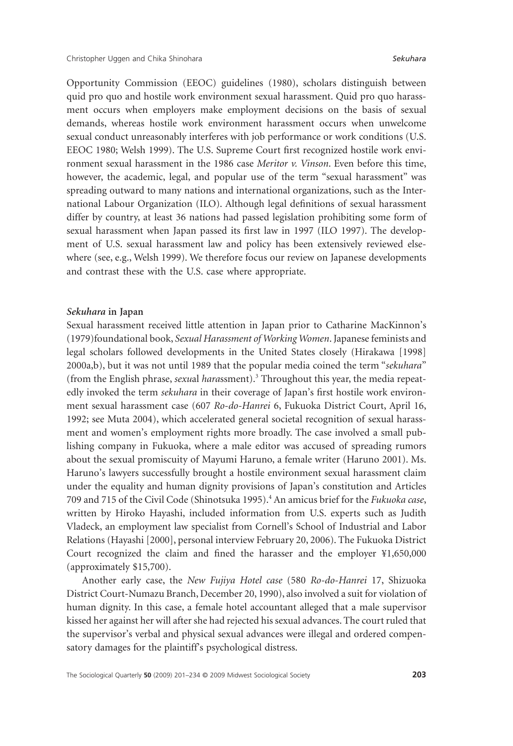Opportunity Commission (EEOC) guidelines (1980), scholars distinguish between quid pro quo and hostile work environment sexual harassment. Quid pro quo harassment occurs when employers make employment decisions on the basis of sexual demands, whereas hostile work environment harassment occurs when unwelcome sexual conduct unreasonably interferes with job performance or work conditions (U.S. EEOC 1980; Welsh 1999). The U.S. Supreme Court first recognized hostile work environment sexual harassment in the 1986 case *Meritor v. Vinson*. Even before this time, however, the academic, legal, and popular use of the term "sexual harassment" was spreading outward to many nations and international organizations, such as the International Labour Organization (ILO). Although legal definitions of sexual harassment differ by country, at least 36 nations had passed legislation prohibiting some form of sexual harassment when Japan passed its first law in 1997 (ILO 1997). The development of U.S. sexual harassment law and policy has been extensively reviewed elsewhere (see, e.g., Welsh 1999). We therefore focus our review on Japanese developments and contrast these with the U.S. case where appropriate.

#### *Sekuhara* **in Japan**

Sexual harassment received little attention in Japan prior to Catharine MacKinnon's (1979)foundational book, *Sexual Harassment of Working Women*. Japanese feminists and legal scholars followed developments in the United States closely (Hirakawa [1998] 2000a,b), but it was not until 1989 that the popular media coined the term "*sekuhara*" (from the English phrase, *sexu*al *hara*ssment).3 Throughout this year, the media repeatedly invoked the term *sekuhara* in their coverage of Japan's first hostile work environment sexual harassment case (607 *Ro-do-Hanrei* 6, Fukuoka District Court, April 16, 1992; see Muta 2004), which accelerated general societal recognition of sexual harassment and women's employment rights more broadly. The case involved a small publishing company in Fukuoka, where a male editor was accused of spreading rumors about the sexual promiscuity of Mayumi Haruno, a female writer (Haruno 2001). Ms. Haruno's lawyers successfully brought a hostile environment sexual harassment claim under the equality and human dignity provisions of Japan's constitution and Articles 709 and 715 of the Civil Code (Shinotsuka 1995).4 An amicus brief for the *Fukuoka case*, written by Hiroko Hayashi, included information from U.S. experts such as Judith Vladeck, an employment law specialist from Cornell's School of Industrial and Labor Relations (Hayashi [2000], personal interview February 20, 2006). The Fukuoka District Court recognized the claim and fined the harasser and the employer ¥1,650,000 (approximately \$15,700).

Another early case, the *New Fujiya Hotel case* (580 *Ro-do-Hanrei* 17, Shizuoka District Court-Numazu Branch, December 20, 1990), also involved a suit for violation of human dignity. In this case, a female hotel accountant alleged that a male supervisor kissed her against her will after she had rejected his sexual advances. The court ruled that the supervisor's verbal and physical sexual advances were illegal and ordered compensatory damages for the plaintiff's psychological distress.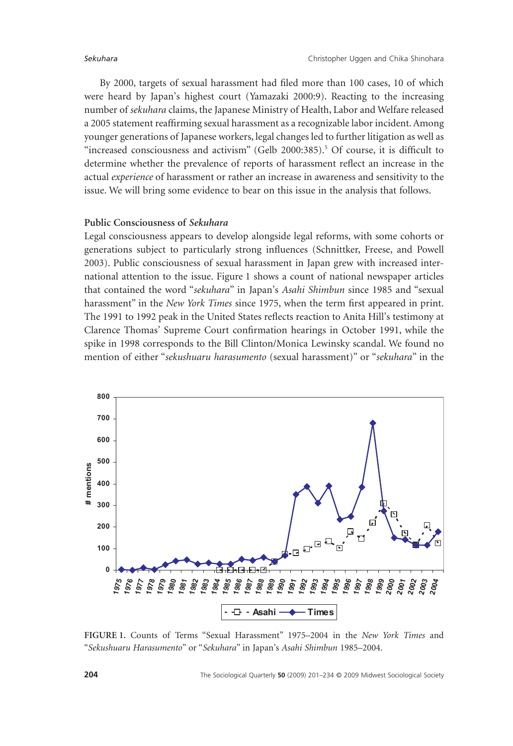By 2000, targets of sexual harassment had filed more than 100 cases, 10 of which were heard by Japan's highest court (Yamazaki 2000:9). Reacting to the increasing number of *sekuhara* claims, the Japanese Ministry of Health, Labor and Welfare released a 2005 statement reaffirming sexual harassment as a recognizable labor incident. Among younger generations of Japanese workers, legal changes led to further litigation as well as "increased consciousness and activism" (Gelb 2000:385).<sup>5</sup> Of course, it is difficult to determine whether the prevalence of reports of harassment reflect an increase in the actual *experience* of harassment or rather an increase in awareness and sensitivity to the issue. We will bring some evidence to bear on this issue in the analysis that follows.

# **Public Consciousness of** *Sekuhara*

Legal consciousness appears to develop alongside legal reforms, with some cohorts or generations subject to particularly strong influences (Schnittker, Freese, and Powell 2003). Public consciousness of sexual harassment in Japan grew with increased international attention to the issue. Figure 1 shows a count of national newspaper articles that contained the word "*sekuhara*" in Japan's *Asahi Shimbun* since 1985 and "sexual harassment" in the *New York Times* since 1975, when the term first appeared in print. The 1991 to 1992 peak in the United States reflects reaction to Anita Hill's testimony at Clarence Thomas' Supreme Court confirmation hearings in October 1991, while the spike in 1998 corresponds to the Bill Clinton/Monica Lewinsky scandal. We found no mention of either "*sekushuaru harasumento* (sexual harassment)" or "*sekuhara*" in the



**FIGURE 1.** Counts of Terms "Sexual Harassment" 1975–2004 in the *New York Times* and "*Sekushuaru Harasumento*" or "*Sekuhara*" in Japan's *Asahi Shimbun* 1985–2004.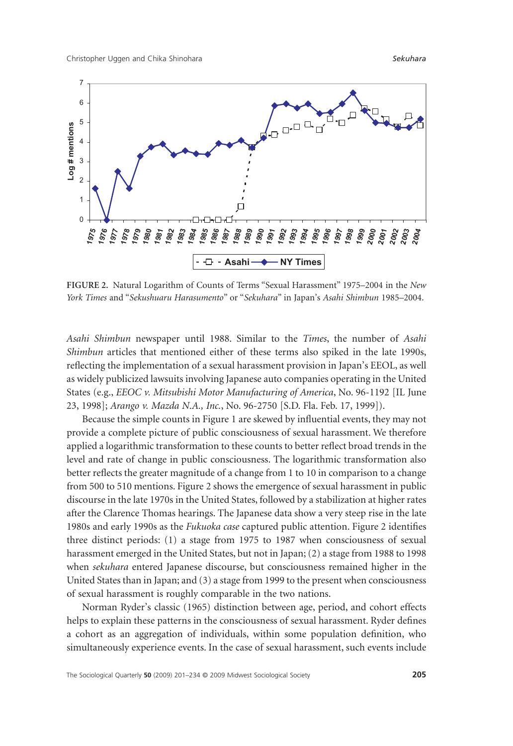Christopher Uggen and Chika Shinohara *Sekuhara*



**FIGURE 2.** Natural Logarithm of Counts of Terms "Sexual Harassment" 1975–2004 in the *New York Times* and "*Sekushuaru Harasumento*" or "*Sekuhara*" in Japan's *Asahi Shimbun* 1985–2004.

*Asahi Shimbun* newspaper until 1988. Similar to the *Times*, the number of *Asahi Shimbun* articles that mentioned either of these terms also spiked in the late 1990s, reflecting the implementation of a sexual harassment provision in Japan's EEOL, as well as widely publicized lawsuits involving Japanese auto companies operating in the United States (e.g., *EEOC v. Mitsubishi Motor Manufacturing of America*, No. 96-1192 [IL June 23, 1998]; *Arango v. Mazda N.A., Inc.*, No. 96-2750 [S.D. Fla. Feb. 17, 1999]).

Because the simple counts in Figure 1 are skewed by influential events, they may not provide a complete picture of public consciousness of sexual harassment. We therefore applied a logarithmic transformation to these counts to better reflect broad trends in the level and rate of change in public consciousness. The logarithmic transformation also better reflects the greater magnitude of a change from 1 to 10 in comparison to a change from 500 to 510 mentions. Figure 2 shows the emergence of sexual harassment in public discourse in the late 1970s in the United States, followed by a stabilization at higher rates after the Clarence Thomas hearings. The Japanese data show a very steep rise in the late 1980s and early 1990s as the *Fukuoka case* captured public attention. Figure 2 identifies three distinct periods: (1) a stage from 1975 to 1987 when consciousness of sexual harassment emerged in the United States, but not in Japan; (2) a stage from 1988 to 1998 when *sekuhara* entered Japanese discourse, but consciousness remained higher in the United States than in Japan; and (3) a stage from 1999 to the present when consciousness of sexual harassment is roughly comparable in the two nations.

Norman Ryder's classic (1965) distinction between age, period, and cohort effects helps to explain these patterns in the consciousness of sexual harassment. Ryder defines a cohort as an aggregation of individuals, within some population definition, who simultaneously experience events. In the case of sexual harassment, such events include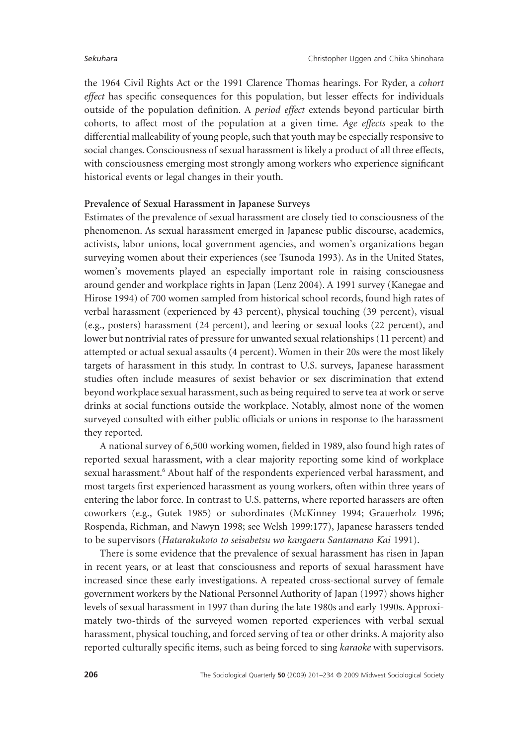the 1964 Civil Rights Act or the 1991 Clarence Thomas hearings. For Ryder, a *cohort effect* has specific consequences for this population, but lesser effects for individuals outside of the population definition. A *period effect* extends beyond particular birth cohorts, to affect most of the population at a given time. *Age effects* speak to the differential malleability of young people, such that youth may be especially responsive to social changes. Consciousness of sexual harassment is likely a product of all three effects, with consciousness emerging most strongly among workers who experience significant historical events or legal changes in their youth.

### **Prevalence of Sexual Harassment in Japanese Surveys**

Estimates of the prevalence of sexual harassment are closely tied to consciousness of the phenomenon. As sexual harassment emerged in Japanese public discourse, academics, activists, labor unions, local government agencies, and women's organizations began surveying women about their experiences (see Tsunoda 1993). As in the United States, women's movements played an especially important role in raising consciousness around gender and workplace rights in Japan (Lenz 2004). A 1991 survey (Kanegae and Hirose 1994) of 700 women sampled from historical school records, found high rates of verbal harassment (experienced by 43 percent), physical touching (39 percent), visual (e.g., posters) harassment (24 percent), and leering or sexual looks (22 percent), and lower but nontrivial rates of pressure for unwanted sexual relationships (11 percent) and attempted or actual sexual assaults (4 percent). Women in their 20s were the most likely targets of harassment in this study. In contrast to U.S. surveys, Japanese harassment studies often include measures of sexist behavior or sex discrimination that extend beyond workplace sexual harassment, such as being required to serve tea at work or serve drinks at social functions outside the workplace. Notably, almost none of the women surveyed consulted with either public officials or unions in response to the harassment they reported.

A national survey of 6,500 working women, fielded in 1989, also found high rates of reported sexual harassment, with a clear majority reporting some kind of workplace sexual harassment.<sup>6</sup> About half of the respondents experienced verbal harassment, and most targets first experienced harassment as young workers, often within three years of entering the labor force. In contrast to U.S. patterns, where reported harassers are often coworkers (e.g., Gutek 1985) or subordinates (McKinney 1994; Grauerholz 1996; Rospenda, Richman, and Nawyn 1998; see Welsh 1999:177), Japanese harassers tended to be supervisors (*Hatarakukoto to seisabetsu wo kangaeru Santamano Kai* 1991).

There is some evidence that the prevalence of sexual harassment has risen in Japan in recent years, or at least that consciousness and reports of sexual harassment have increased since these early investigations. A repeated cross-sectional survey of female government workers by the National Personnel Authority of Japan (1997) shows higher levels of sexual harassment in 1997 than during the late 1980s and early 1990s. Approximately two-thirds of the surveyed women reported experiences with verbal sexual harassment, physical touching, and forced serving of tea or other drinks. A majority also reported culturally specific items, such as being forced to sing *karaoke* with supervisors.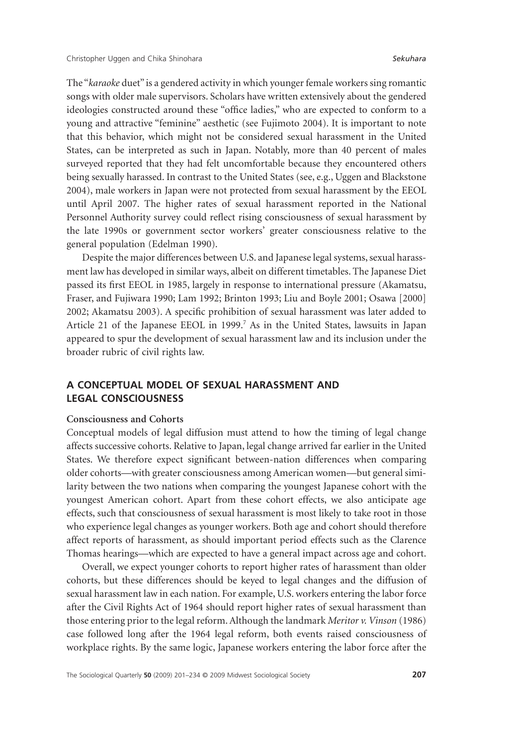The "*karaoke* duet" is a gendered activity in which younger female workers sing romantic songs with older male supervisors. Scholars have written extensively about the gendered ideologies constructed around these "office ladies," who are expected to conform to a young and attractive "feminine" aesthetic (see Fujimoto 2004). It is important to note that this behavior, which might not be considered sexual harassment in the United States, can be interpreted as such in Japan. Notably, more than 40 percent of males surveyed reported that they had felt uncomfortable because they encountered others being sexually harassed. In contrast to the United States (see, e.g., Uggen and Blackstone 2004), male workers in Japan were not protected from sexual harassment by the EEOL until April 2007. The higher rates of sexual harassment reported in the National Personnel Authority survey could reflect rising consciousness of sexual harassment by the late 1990s or government sector workers' greater consciousness relative to the general population (Edelman 1990).

Despite the major differences between U.S. and Japanese legal systems, sexual harassment law has developed in similar ways, albeit on different timetables. The Japanese Diet passed its first EEOL in 1985, largely in response to international pressure (Akamatsu, Fraser, and Fujiwara 1990; Lam 1992; Brinton 1993; Liu and Boyle 2001; Osawa [2000] 2002; Akamatsu 2003). A specific prohibition of sexual harassment was later added to Article 21 of the Japanese EEOL in 1999.<sup>7</sup> As in the United States, lawsuits in Japan appeared to spur the development of sexual harassment law and its inclusion under the broader rubric of civil rights law.

# **A CONCEPTUAL MODEL OF SEXUAL HARASSMENT AND LEGAL CONSCIOUSNESS**

#### **Consciousness and Cohorts**

Conceptual models of legal diffusion must attend to how the timing of legal change affects successive cohorts. Relative to Japan, legal change arrived far earlier in the United States. We therefore expect significant between-nation differences when comparing older cohorts—with greater consciousness among American women—but general similarity between the two nations when comparing the youngest Japanese cohort with the youngest American cohort. Apart from these cohort effects, we also anticipate age effects, such that consciousness of sexual harassment is most likely to take root in those who experience legal changes as younger workers. Both age and cohort should therefore affect reports of harassment, as should important period effects such as the Clarence Thomas hearings—which are expected to have a general impact across age and cohort.

Overall, we expect younger cohorts to report higher rates of harassment than older cohorts, but these differences should be keyed to legal changes and the diffusion of sexual harassment law in each nation. For example, U.S. workers entering the labor force after the Civil Rights Act of 1964 should report higher rates of sexual harassment than those entering prior to the legal reform. Although the landmark *Meritor v. Vinson* (1986) case followed long after the 1964 legal reform, both events raised consciousness of workplace rights. By the same logic, Japanese workers entering the labor force after the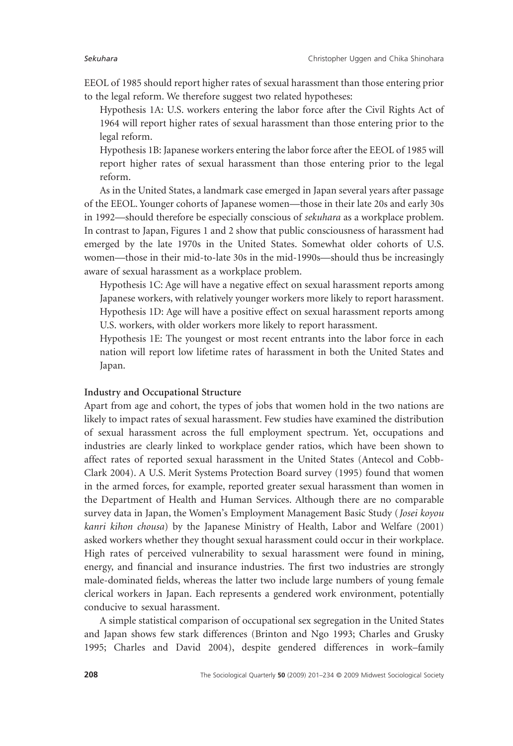EEOL of 1985 should report higher rates of sexual harassment than those entering prior to the legal reform. We therefore suggest two related hypotheses:

Hypothesis 1A: U.S. workers entering the labor force after the Civil Rights Act of 1964 will report higher rates of sexual harassment than those entering prior to the legal reform.

Hypothesis 1B: Japanese workers entering the labor force after the EEOL of 1985 will report higher rates of sexual harassment than those entering prior to the legal reform.

As in the United States, a landmark case emerged in Japan several years after passage of the EEOL. Younger cohorts of Japanese women—those in their late 20s and early 30s in 1992—should therefore be especially conscious of *sekuhara* as a workplace problem. In contrast to Japan, Figures 1 and 2 show that public consciousness of harassment had emerged by the late 1970s in the United States. Somewhat older cohorts of U.S. women—those in their mid-to-late 30s in the mid-1990s—should thus be increasingly aware of sexual harassment as a workplace problem.

Hypothesis 1C: Age will have a negative effect on sexual harassment reports among Japanese workers, with relatively younger workers more likely to report harassment. Hypothesis 1D: Age will have a positive effect on sexual harassment reports among U.S. workers, with older workers more likely to report harassment.

Hypothesis 1E: The youngest or most recent entrants into the labor force in each nation will report low lifetime rates of harassment in both the United States and Japan.

# **Industry and Occupational Structure**

Apart from age and cohort, the types of jobs that women hold in the two nations are likely to impact rates of sexual harassment. Few studies have examined the distribution of sexual harassment across the full employment spectrum. Yet, occupations and industries are clearly linked to workplace gender ratios, which have been shown to affect rates of reported sexual harassment in the United States (Antecol and Cobb-Clark 2004). A U.S. Merit Systems Protection Board survey (1995) found that women in the armed forces, for example, reported greater sexual harassment than women in the Department of Health and Human Services. Although there are no comparable survey data in Japan, the Women's Employment Management Basic Study (*Josei koyou kanri kihon chousa*) by the Japanese Ministry of Health, Labor and Welfare (2001) asked workers whether they thought sexual harassment could occur in their workplace. High rates of perceived vulnerability to sexual harassment were found in mining, energy, and financial and insurance industries. The first two industries are strongly male-dominated fields, whereas the latter two include large numbers of young female clerical workers in Japan. Each represents a gendered work environment, potentially conducive to sexual harassment.

A simple statistical comparison of occupational sex segregation in the United States and Japan shows few stark differences (Brinton and Ngo 1993; Charles and Grusky 1995; Charles and David 2004), despite gendered differences in work–family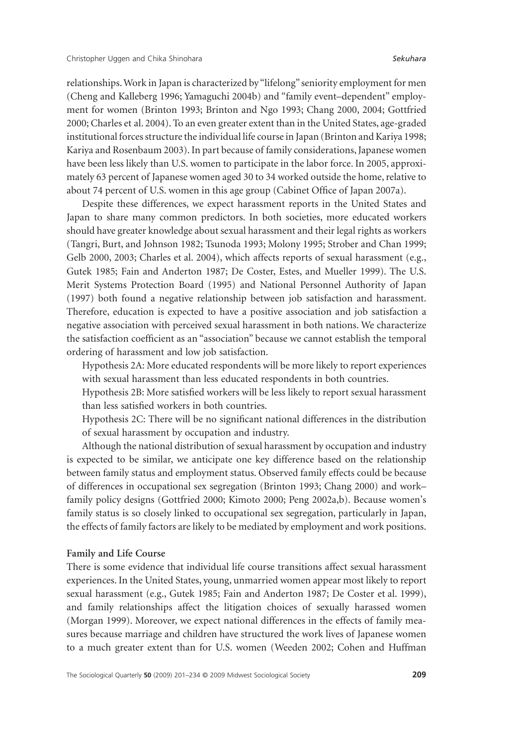relationships.Work in Japan is characterized by "lifelong" seniority employment for men (Cheng and Kalleberg 1996; Yamaguchi 2004b) and "family event–dependent" employment for women (Brinton 1993; Brinton and Ngo 1993; Chang 2000, 2004; Gottfried 2000; Charles et al. 2004). To an even greater extent than in the United States, age-graded institutional forces structure the individual life course in Japan (Brinton and Kariya 1998; Kariya and Rosenbaum 2003). In part because of family considerations, Japanese women have been less likely than U.S. women to participate in the labor force. In 2005, approximately 63 percent of Japanese women aged 30 to 34 worked outside the home, relative to about 74 percent of U.S. women in this age group (Cabinet Office of Japan 2007a).

Despite these differences, we expect harassment reports in the United States and Japan to share many common predictors. In both societies, more educated workers should have greater knowledge about sexual harassment and their legal rights as workers (Tangri, Burt, and Johnson 1982; Tsunoda 1993; Molony 1995; Strober and Chan 1999; Gelb 2000, 2003; Charles et al. 2004), which affects reports of sexual harassment (e.g., Gutek 1985; Fain and Anderton 1987; De Coster, Estes, and Mueller 1999). The U.S. Merit Systems Protection Board (1995) and National Personnel Authority of Japan (1997) both found a negative relationship between job satisfaction and harassment. Therefore, education is expected to have a positive association and job satisfaction a negative association with perceived sexual harassment in both nations. We characterize the satisfaction coefficient as an "association" because we cannot establish the temporal ordering of harassment and low job satisfaction.

Hypothesis 2A: More educated respondents will be more likely to report experiences with sexual harassment than less educated respondents in both countries.

Hypothesis 2B: More satisfied workers will be less likely to report sexual harassment than less satisfied workers in both countries.

Hypothesis 2C: There will be no significant national differences in the distribution of sexual harassment by occupation and industry.

Although the national distribution of sexual harassment by occupation and industry is expected to be similar, we anticipate one key difference based on the relationship between family status and employment status. Observed family effects could be because of differences in occupational sex segregation (Brinton 1993; Chang 2000) and work– family policy designs (Gottfried 2000; Kimoto 2000; Peng 2002a,b). Because women's family status is so closely linked to occupational sex segregation, particularly in Japan, the effects of family factors are likely to be mediated by employment and work positions.

#### **Family and Life Course**

There is some evidence that individual life course transitions affect sexual harassment experiences. In the United States, young, unmarried women appear most likely to report sexual harassment (e.g., Gutek 1985; Fain and Anderton 1987; De Coster et al. 1999), and family relationships affect the litigation choices of sexually harassed women (Morgan 1999). Moreover, we expect national differences in the effects of family measures because marriage and children have structured the work lives of Japanese women to a much greater extent than for U.S. women (Weeden 2002; Cohen and Huffman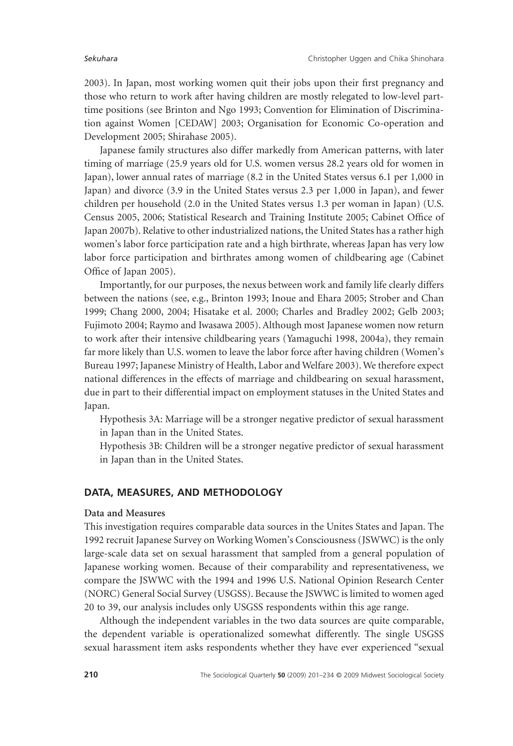2003). In Japan, most working women quit their jobs upon their first pregnancy and those who return to work after having children are mostly relegated to low-level parttime positions (see Brinton and Ngo 1993; Convention for Elimination of Discrimination against Women [CEDAW] 2003; Organisation for Economic Co-operation and Development 2005; Shirahase 2005).

Japanese family structures also differ markedly from American patterns, with later timing of marriage (25.9 years old for U.S. women versus 28.2 years old for women in Japan), lower annual rates of marriage (8.2 in the United States versus 6.1 per 1,000 in Japan) and divorce (3.9 in the United States versus 2.3 per 1,000 in Japan), and fewer children per household (2.0 in the United States versus 1.3 per woman in Japan) (U.S. Census 2005, 2006; Statistical Research and Training Institute 2005; Cabinet Office of Japan 2007b). Relative to other industrialized nations, the United States has a rather high women's labor force participation rate and a high birthrate, whereas Japan has very low labor force participation and birthrates among women of childbearing age (Cabinet Office of Japan 2005).

Importantly, for our purposes, the nexus between work and family life clearly differs between the nations (see, e.g., Brinton 1993; Inoue and Ehara 2005; Strober and Chan 1999; Chang 2000, 2004; Hisatake et al. 2000; Charles and Bradley 2002; Gelb 2003; Fujimoto 2004; Raymo and Iwasawa 2005). Although most Japanese women now return to work after their intensive childbearing years (Yamaguchi 1998, 2004a), they remain far more likely than U.S. women to leave the labor force after having children (Women's Bureau 1997; Japanese Ministry of Health, Labor and Welfare 2003). We therefore expect national differences in the effects of marriage and childbearing on sexual harassment, due in part to their differential impact on employment statuses in the United States and Japan.

Hypothesis 3A: Marriage will be a stronger negative predictor of sexual harassment in Japan than in the United States.

Hypothesis 3B: Children will be a stronger negative predictor of sexual harassment in Japan than in the United States.

### **DATA, MEASURES, AND METHODOLOGY**

#### **Data and Measures**

This investigation requires comparable data sources in the Unites States and Japan. The 1992 recruit Japanese Survey on Working Women's Consciousness (JSWWC) is the only large-scale data set on sexual harassment that sampled from a general population of Japanese working women. Because of their comparability and representativeness, we compare the JSWWC with the 1994 and 1996 U.S. National Opinion Research Center (NORC) General Social Survey (USGSS). Because the JSWWC is limited to women aged 20 to 39, our analysis includes only USGSS respondents within this age range.

Although the independent variables in the two data sources are quite comparable, the dependent variable is operationalized somewhat differently. The single USGSS sexual harassment item asks respondents whether they have ever experienced "sexual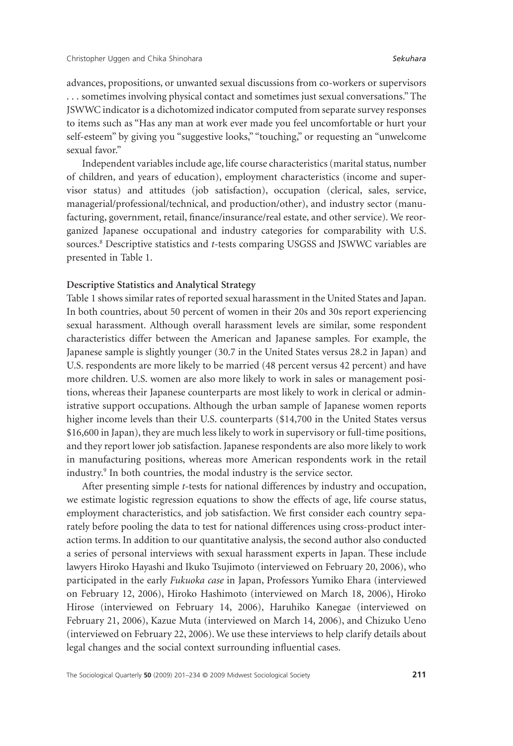advances, propositions, or unwanted sexual discussions from co-workers or supervisors . . . sometimes involving physical contact and sometimes just sexual conversations." The JSWWC indicator is a dichotomized indicator computed from separate survey responses to items such as "Has any man at work ever made you feel uncomfortable or hurt your self-esteem" by giving you "suggestive looks," "touching," or requesting an "unwelcome sexual favor."

Independent variables include age, life course characteristics (marital status, number of children, and years of education), employment characteristics (income and supervisor status) and attitudes (job satisfaction), occupation (clerical, sales, service, managerial/professional/technical, and production/other), and industry sector (manufacturing, government, retail, finance/insurance/real estate, and other service). We reorganized Japanese occupational and industry categories for comparability with U.S. sources.<sup>8</sup> Descriptive statistics and *t*-tests comparing USGSS and JSWWC variables are presented in Table 1.

### **Descriptive Statistics and Analytical Strategy**

Table 1 shows similar rates of reported sexual harassment in the United States and Japan. In both countries, about 50 percent of women in their 20s and 30s report experiencing sexual harassment. Although overall harassment levels are similar, some respondent characteristics differ between the American and Japanese samples. For example, the Japanese sample is slightly younger (30.7 in the United States versus 28.2 in Japan) and U.S. respondents are more likely to be married (48 percent versus 42 percent) and have more children. U.S. women are also more likely to work in sales or management positions, whereas their Japanese counterparts are most likely to work in clerical or administrative support occupations. Although the urban sample of Japanese women reports higher income levels than their U.S. counterparts (\$14,700 in the United States versus \$16,600 in Japan), they are much less likely to work in supervisory or full-time positions, and they report lower job satisfaction. Japanese respondents are also more likely to work in manufacturing positions, whereas more American respondents work in the retail industry.<sup>9</sup> In both countries, the modal industry is the service sector.

After presenting simple *t*-tests for national differences by industry and occupation, we estimate logistic regression equations to show the effects of age, life course status, employment characteristics, and job satisfaction. We first consider each country separately before pooling the data to test for national differences using cross-product interaction terms. In addition to our quantitative analysis, the second author also conducted a series of personal interviews with sexual harassment experts in Japan. These include lawyers Hiroko Hayashi and Ikuko Tsujimoto (interviewed on February 20, 2006), who participated in the early *Fukuoka case* in Japan, Professors Yumiko Ehara (interviewed on February 12, 2006), Hiroko Hashimoto (interviewed on March 18, 2006), Hiroko Hirose (interviewed on February 14, 2006), Haruhiko Kanegae (interviewed on February 21, 2006), Kazue Muta (interviewed on March 14, 2006), and Chizuko Ueno (interviewed on February 22, 2006). We use these interviews to help clarify details about legal changes and the social context surrounding influential cases.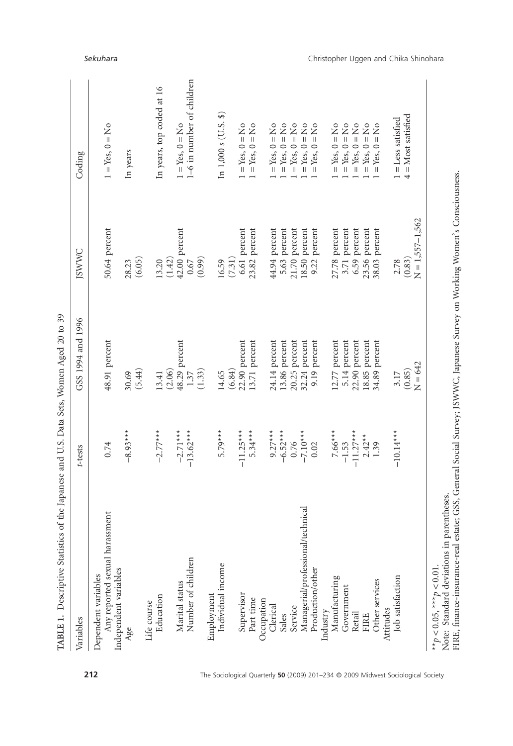| 50.64 percent<br>42.00 percent<br>6.61 percent<br>23.82 percent<br>(7.31)<br>(0.99)<br>(1.42)<br>(6.05)<br>13.20<br>$0.67$<br>16.59<br>28.23<br>48.91 percent<br>48.29 percent<br>22.90 percent<br>13.71 percent<br>(6.84)<br>(5.44)<br>(2.06)<br>(1.33)<br>1.37<br>14.65<br>30.69<br>13.41 | 1-6 in number of children<br>In years, top coded at 16<br>$1 = Yes$ , $0 = No$<br>$1 = Yes, 0 = No$<br>In years |
|---------------------------------------------------------------------------------------------------------------------------------------------------------------------------------------------------------------------------------------------------------------------------------------------|-----------------------------------------------------------------------------------------------------------------|
|                                                                                                                                                                                                                                                                                             |                                                                                                                 |
|                                                                                                                                                                                                                                                                                             |                                                                                                                 |
|                                                                                                                                                                                                                                                                                             |                                                                                                                 |
|                                                                                                                                                                                                                                                                                             |                                                                                                                 |
|                                                                                                                                                                                                                                                                                             |                                                                                                                 |
|                                                                                                                                                                                                                                                                                             |                                                                                                                 |
|                                                                                                                                                                                                                                                                                             |                                                                                                                 |
|                                                                                                                                                                                                                                                                                             |                                                                                                                 |
|                                                                                                                                                                                                                                                                                             |                                                                                                                 |
|                                                                                                                                                                                                                                                                                             |                                                                                                                 |
|                                                                                                                                                                                                                                                                                             |                                                                                                                 |
|                                                                                                                                                                                                                                                                                             | In $1,000 s$ (U.S. \$)                                                                                          |
|                                                                                                                                                                                                                                                                                             |                                                                                                                 |
|                                                                                                                                                                                                                                                                                             | $=$ Yes, $0 =$ No                                                                                               |
|                                                                                                                                                                                                                                                                                             | $1 = Yes, 0 = No$                                                                                               |
|                                                                                                                                                                                                                                                                                             |                                                                                                                 |
| 44.94 percent<br>24.14 percent                                                                                                                                                                                                                                                              | $= Yes, 0 = No$                                                                                                 |
| 5.63 percent                                                                                                                                                                                                                                                                                | $Yes, 0 = No$                                                                                                   |
| percent<br>21.70                                                                                                                                                                                                                                                                            | $Yes, 0 = No$                                                                                                   |
| percent<br>18.50                                                                                                                                                                                                                                                                            | $=$ Yes, $0 =$ No                                                                                               |
| percent<br>9.22<br>percent<br>$9.19 -$                                                                                                                                                                                                                                                      | $\overline{a}$<br>$Yes, 0 =$<br>$\mathbf{  }$                                                                   |
|                                                                                                                                                                                                                                                                                             |                                                                                                                 |
| 27.78 percent                                                                                                                                                                                                                                                                               | $\frac{1}{2}$<br>$Yes, 0 =$                                                                                     |
|                                                                                                                                                                                                                                                                                             | $=$ Yes, $0 =$ No                                                                                               |
|                                                                                                                                                                                                                                                                                             | $Yes, 0 = No$                                                                                                   |
| 23.56 percent                                                                                                                                                                                                                                                                               | $Yes, 0 = No$                                                                                                   |
| 38.03                                                                                                                                                                                                                                                                                       | $=$ Yes, $0 =$ No                                                                                               |
|                                                                                                                                                                                                                                                                                             |                                                                                                                 |
| 3.17                                                                                                                                                                                                                                                                                        | $1 =$ Less satisfied                                                                                            |
| (0.83)<br>(0.85)                                                                                                                                                                                                                                                                            | $4 = Most satisfied$                                                                                            |
| $N = 1,557 - 1,562$<br>$N = 642$                                                                                                                                                                                                                                                            |                                                                                                                 |
| 13.86 percent<br>$20.25$ percent<br>32.24 percent<br>12.77 percent<br>5.14 percent<br>22.90 percent<br>18.85 percent<br>34.89 percent                                                                                                                                                       | 6.59 percent<br>3.71 percent<br>percent<br>2.78                                                                 |

**212** The Sociological Quarterly **50** (2009) 201–234 © 2009 Midwest Sociological Society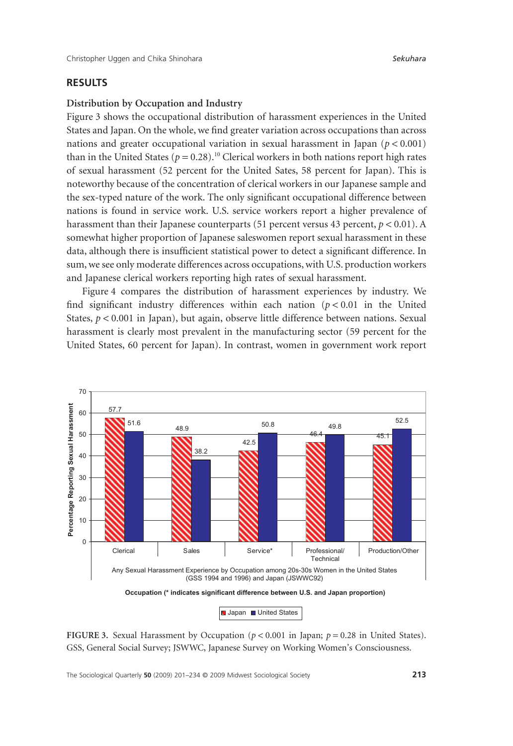### **RESULTS**

### **Distribution by Occupation and Industry**

Figure 3 shows the occupational distribution of harassment experiences in the United States and Japan. On the whole, we find greater variation across occupations than across nations and greater occupational variation in sexual harassment in Japan  $(p < 0.001)$ than in the United States ( $p = 0.28$ ).<sup>10</sup> Clerical workers in both nations report high rates of sexual harassment (52 percent for the United Sates, 58 percent for Japan). This is noteworthy because of the concentration of clerical workers in our Japanese sample and the sex-typed nature of the work. The only significant occupational difference between nations is found in service work. U.S. service workers report a higher prevalence of harassment than their Japanese counterparts (51 percent versus 43 percent, *p* < 0.01). A somewhat higher proportion of Japanese saleswomen report sexual harassment in these data, although there is insufficient statistical power to detect a significant difference. In sum, we see only moderate differences across occupations, with U.S. production workers and Japanese clerical workers reporting high rates of sexual harassment.

Figure 4 compares the distribution of harassment experiences by industry. We find significant industry differences within each nation  $(p < 0.01$  in the United States,  $p < 0.001$  in Japan), but again, observe little difference between nations. Sexual harassment is clearly most prevalent in the manufacturing sector (59 percent for the United States, 60 percent for Japan). In contrast, women in government work report



**FIGURE 3.** Sexual Harassment by Occupation (*p* < 0.001 in Japan; *p* = 0.28 in United States). GSS, General Social Survey; JSWWC, Japanese Survey on Working Women's Consciousness.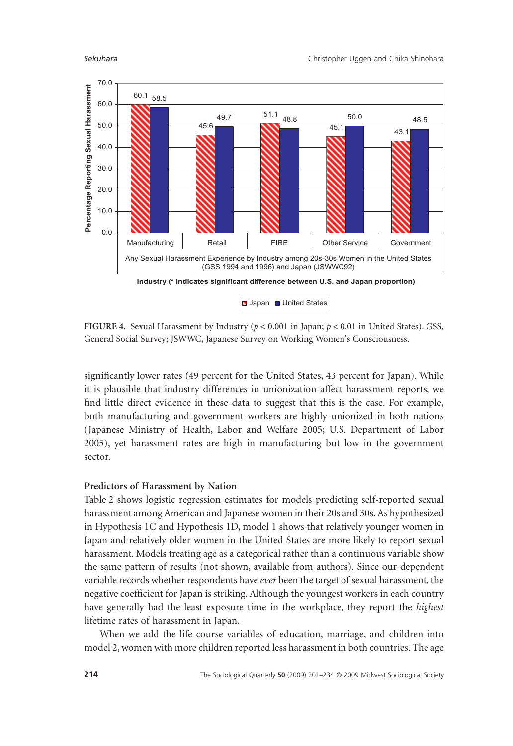

**FIGURE 4.** Sexual Harassment by Industry (*p* < 0.001 in Japan; *p* < 0.01 in United States). GSS, General Social Survey; JSWWC, Japanese Survey on Working Women's Consciousness.

significantly lower rates (49 percent for the United States, 43 percent for Japan). While it is plausible that industry differences in unionization affect harassment reports, we find little direct evidence in these data to suggest that this is the case. For example, both manufacturing and government workers are highly unionized in both nations (Japanese Ministry of Health, Labor and Welfare 2005; U.S. Department of Labor 2005), yet harassment rates are high in manufacturing but low in the government sector.

#### **Predictors of Harassment by Nation**

Table 2 shows logistic regression estimates for models predicting self-reported sexual harassment among American and Japanese women in their 20s and 30s. As hypothesized in Hypothesis 1C and Hypothesis 1D, model 1 shows that relatively younger women in Japan and relatively older women in the United States are more likely to report sexual harassment. Models treating age as a categorical rather than a continuous variable show the same pattern of results (not shown, available from authors). Since our dependent variable records whether respondents have *ever* been the target of sexual harassment, the negative coefficient for Japan is striking. Although the youngest workers in each country have generally had the least exposure time in the workplace, they report the *highest* lifetime rates of harassment in Japan.

When we add the life course variables of education, marriage, and children into model 2, women with more children reported less harassment in both countries. The age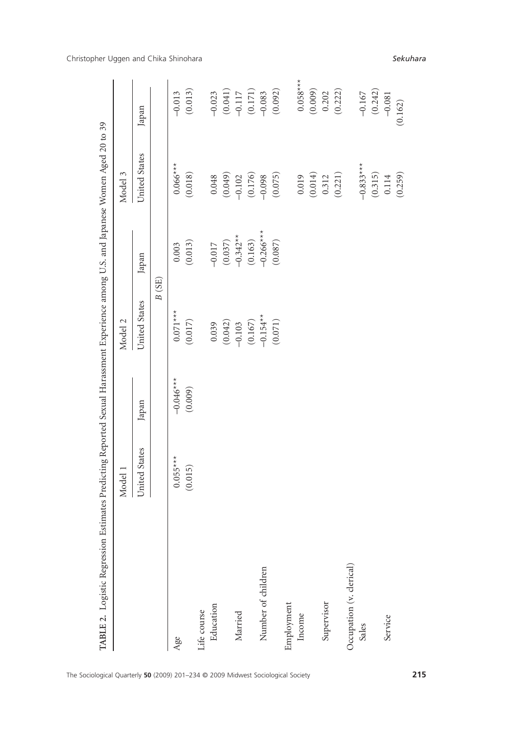|                          | Model 1       |         | Model 2               |                       | Model 3       |                                                                       |
|--------------------------|---------------|---------|-----------------------|-----------------------|---------------|-----------------------------------------------------------------------|
|                          | United States | Japan   | United States         | Japan                 | United States | Japan                                                                 |
|                          |               |         | B(SE)                 |                       |               |                                                                       |
| Age                      | $0.055***$    | $+**$   | $0.071***$            | 0.003                 | $0.066***$    | $-0.013$                                                              |
|                          | (0.015)       | (0.009) | (0.017)               | (0.013)               | (0.018)       | (0.013)                                                               |
| Life course              |               |         |                       |                       |               |                                                                       |
| Education                |               |         | 0.039                 | $-0.017$              | 0.048         | $-0.023$                                                              |
|                          |               |         | $(0.042)$<br>-0.103   |                       | (0.049)       |                                                                       |
| Married                  |               |         |                       | $(0.037)$<br>-0.342** | $-0.102$      |                                                                       |
|                          |               |         | $(0.167)$<br>-0.154** | (0.163)               | (0.176)       | $\begin{array}{c} (0.041) \\ -0.117 \\ (0.171) \\ -0.083 \end{array}$ |
| Number of children       |               |         |                       | $-0.266$ **           | $-0.098$      |                                                                       |
|                          |               |         | (0.071)               | (0.087)               | (0.075)       | (0.092)                                                               |
| Employment               |               |         |                       |                       |               |                                                                       |
| Income                   |               |         |                       |                       | 0.019         | $0.058***$                                                            |
|                          |               |         |                       |                       | (0.014)       | (0.009)                                                               |
| Supervisor               |               |         |                       |                       | 0.312         | 0.202                                                                 |
|                          |               |         |                       |                       | (0.221)       | (0.222)                                                               |
| Occupation (v. clerical) |               |         |                       |                       |               |                                                                       |
| Sales                    |               |         |                       |                       | $-0.833**$    | $-0.167$                                                              |
|                          |               |         |                       |                       | (0.315)       | (0.242)                                                               |
| Service                  |               |         |                       |                       | 0.114         | $-0.081$                                                              |
|                          |               |         |                       |                       | (0.259)       | (0.162)                                                               |

Christopher Uggen and Chika Shinohara *Sekuhara*

The Sociological Quarterly **50** (2009) 201–234 © 2009 Midwest Sociological Society **215**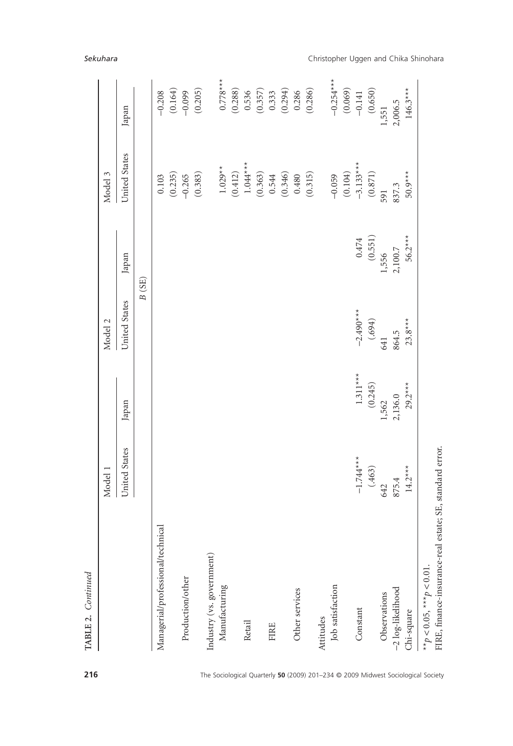|                                                                                         | Model 1       |            | Model 2       |           | Model 3       |             |
|-----------------------------------------------------------------------------------------|---------------|------------|---------------|-----------|---------------|-------------|
|                                                                                         | United States | Japan      | United States | Japan     | United States | Japan       |
|                                                                                         |               |            | B(SE)         |           |               |             |
| Managerial/professional/technical                                                       |               |            |               |           | 0.103         | $-0.208$    |
|                                                                                         |               |            |               |           | (0.235)       | (0.164)     |
| Production/other                                                                        |               |            |               |           | $-0.265$      | $-0.099$    |
|                                                                                         |               |            |               |           | (0.383)       | (0.205)     |
| Industry (vs. government)                                                               |               |            |               |           |               |             |
| Manufacturing                                                                           |               |            |               |           | $1.029**$     | $0.778***$  |
|                                                                                         |               |            |               |           | (0.412)       | (0.288)     |
| Retail                                                                                  |               |            |               |           | $1.044***$    | 0.536       |
|                                                                                         |               |            |               |           | (0.363)       | (0.357)     |
| <b>FIRE</b>                                                                             |               |            |               |           | 0.544         | 0.333       |
|                                                                                         |               |            |               |           | (0.346)       | (0.294)     |
| Other services                                                                          |               |            |               |           | 0.480         | 0.286       |
|                                                                                         |               |            |               |           | (0.315)       | (0.286)     |
| Attitudes                                                                               |               |            |               |           |               |             |
| Job satisfaction                                                                        |               |            |               |           | $-0.059$      | $-0.254***$ |
|                                                                                         |               |            |               |           | (0.104)       | (0.069)     |
| Constant                                                                                | $-1.744***$   | $1.311***$ | $-2.490***$   | 0.474     | $-3.133***$   | $-0.141$    |
|                                                                                         | (.463)        | (0.245)    | (694)         | (0.551)   | $(0.871)$     | (0.650)     |
| Observations                                                                            | 642           | 1,562      | 641           | 1,556     | 591           | 1,551       |
| -2 log-likelihood                                                                       | 875.4         | 2,136.0    | 864.5         | $2,100.7$ | 837.3         | 2,006.5     |
| Chi-square                                                                              | $14.2***$     | $29.2***$  | $23.8***$     | $56.2***$ | $50.9***$     | $146.3***$  |
| FIRE, finance-insurance-real estate; SE, standard error.<br>$* p < 0.05, * * p < 0.01.$ |               |            |               |           |               |             |

# *Sekuhara* Christopher Uggen and Chika Shinohara

**TABLE 2.** *Continued*

TABLE 2. Continued

**216** The Sociological Quarterly **50** (2009) 201–234 © 2009 Midwest Sociological Society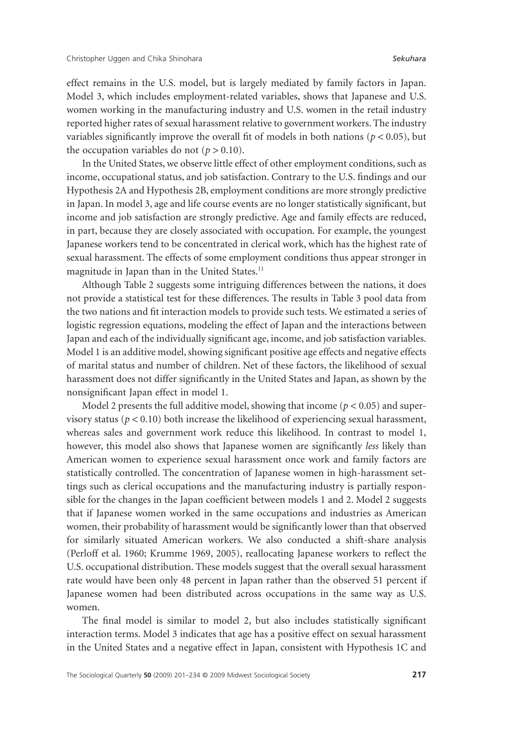effect remains in the U.S. model, but is largely mediated by family factors in Japan. Model 3, which includes employment-related variables, shows that Japanese and U.S. women working in the manufacturing industry and U.S. women in the retail industry reported higher rates of sexual harassment relative to government workers. The industry variables significantly improve the overall fit of models in both nations ( $p < 0.05$ ), but the occupation variables do not  $(p > 0.10)$ .

In the United States, we observe little effect of other employment conditions, such as income, occupational status, and job satisfaction. Contrary to the U.S. findings and our Hypothesis 2A and Hypothesis 2B, employment conditions are more strongly predictive in Japan. In model 3, age and life course events are no longer statistically significant, but income and job satisfaction are strongly predictive. Age and family effects are reduced, in part, because they are closely associated with occupation. For example, the youngest Japanese workers tend to be concentrated in clerical work, which has the highest rate of sexual harassment. The effects of some employment conditions thus appear stronger in magnitude in Japan than in the United States.<sup>11</sup>

Although Table 2 suggests some intriguing differences between the nations, it does not provide a statistical test for these differences. The results in Table 3 pool data from the two nations and fit interaction models to provide such tests. We estimated a series of logistic regression equations, modeling the effect of Japan and the interactions between Japan and each of the individually significant age, income, and job satisfaction variables. Model 1 is an additive model, showing significant positive age effects and negative effects of marital status and number of children. Net of these factors, the likelihood of sexual harassment does not differ significantly in the United States and Japan, as shown by the nonsignificant Japan effect in model 1.

Model 2 presents the full additive model, showing that income ( $p < 0.05$ ) and supervisory status ( $p < 0.10$ ) both increase the likelihood of experiencing sexual harassment, whereas sales and government work reduce this likelihood. In contrast to model 1, however, this model also shows that Japanese women are significantly *less* likely than American women to experience sexual harassment once work and family factors are statistically controlled. The concentration of Japanese women in high-harassment settings such as clerical occupations and the manufacturing industry is partially responsible for the changes in the Japan coefficient between models 1 and 2. Model 2 suggests that if Japanese women worked in the same occupations and industries as American women, their probability of harassment would be significantly lower than that observed for similarly situated American workers. We also conducted a shift-share analysis (Perloff et al. 1960; Krumme 1969, 2005), reallocating Japanese workers to reflect the U.S. occupational distribution. These models suggest that the overall sexual harassment rate would have been only 48 percent in Japan rather than the observed 51 percent if Japanese women had been distributed across occupations in the same way as U.S. women.

The final model is similar to model 2, but also includes statistically significant interaction terms. Model 3 indicates that age has a positive effect on sexual harassment in the United States and a negative effect in Japan, consistent with Hypothesis 1C and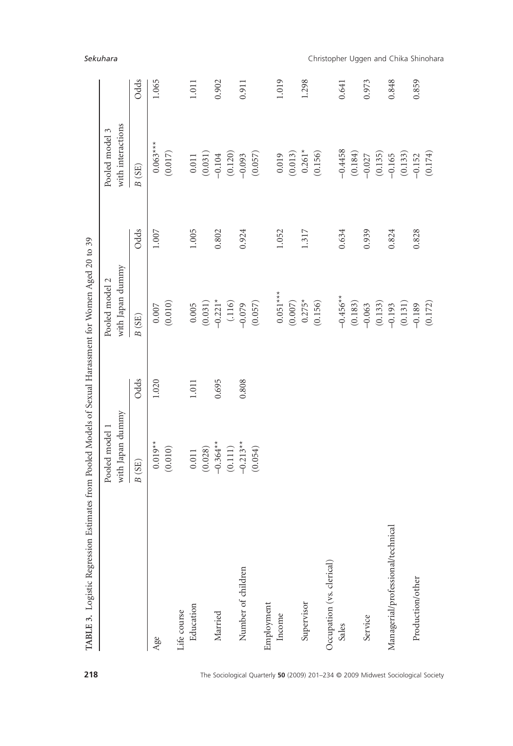| TABLE 3. Logistic Regression Estimates from Pooled Models of Sexual Harassment for Women Aged 20 to 39 |                                    |       |                                    |         |                                     |       |
|--------------------------------------------------------------------------------------------------------|------------------------------------|-------|------------------------------------|---------|-------------------------------------|-------|
|                                                                                                        | with Japan dummy<br>Pooled model 1 |       | with Japan dummy<br>Pooled model 2 |         | with interactions<br>Pooled model 3 |       |
|                                                                                                        | B(SE)                              | Odds  | $B$ (SE)                           | Odds    | B(SE)                               | Odds  |
| Age                                                                                                    | $0.019**$                          | 1.020 | $0.007\,$                          | $1.007$ | $0.063***$                          | 1.065 |
|                                                                                                        | (0.010)                            |       | (0.010)                            |         | (0.017)                             |       |
| Education<br>Life course                                                                               | 0.011                              | 1.011 | 0.005                              | 1.005   | $0.011$                             | 1.011 |
|                                                                                                        | (0.028)                            |       | (0.031)                            |         | (0.031)                             |       |
| Married                                                                                                | $-0.364**$                         | 0.695 | $-0.221*$                          | 0.802   | $-0.104$                            | 0.902 |
|                                                                                                        | (0.111)                            |       | (.116)                             |         | (0.120)                             |       |
| Number of children                                                                                     | $-0.213**$                         | 0.808 | $-0.079$                           | 0.924   | $-0.093$                            | 0.911 |
|                                                                                                        | (0.054)                            |       | (0.057)                            |         | (0.057)                             |       |
| Employment                                                                                             |                                    |       |                                    |         |                                     |       |
| Income                                                                                                 |                                    |       | $0.051***$                         | 1.052   | 0.019                               | 1.019 |
|                                                                                                        |                                    |       | (0.007)                            |         | (0.013)                             |       |
| Supervisor                                                                                             |                                    |       | $0.275*$                           | 1.317   | $0.261*$                            | 1.298 |
|                                                                                                        |                                    |       | (0.156)                            |         | (0.156)                             |       |
| Occupation (vs. clerical)                                                                              |                                    |       |                                    |         |                                     |       |
| Sales                                                                                                  |                                    |       | $-0.456**$                         | 0.634   | $-0.4458$                           | 0.641 |
|                                                                                                        |                                    |       | (0.183)                            |         | (0.184)                             |       |
| Service                                                                                                |                                    |       | $-0.063$                           | 0.939   | $-0.027$                            | 0.973 |
|                                                                                                        |                                    |       | (0.133)                            |         | (0.135)                             |       |
| Managerial/professional/technical                                                                      |                                    |       | $-0.193$                           | 0.824   | $-0.165$                            | 0.848 |
|                                                                                                        |                                    |       | (0.131)                            |         | (0.133)                             |       |
| Production/other                                                                                       |                                    |       | $-0.189$                           | 0.828   | $-0.152$                            | 0.859 |
|                                                                                                        |                                    |       | (0.172)                            |         | (0.174)                             |       |

*Sekuhara* Christopher Uggen and Chika Shinohara

**218** The Sociological Quarterly **50** (2009) 201–234 © 2009 Midwest Sociological Society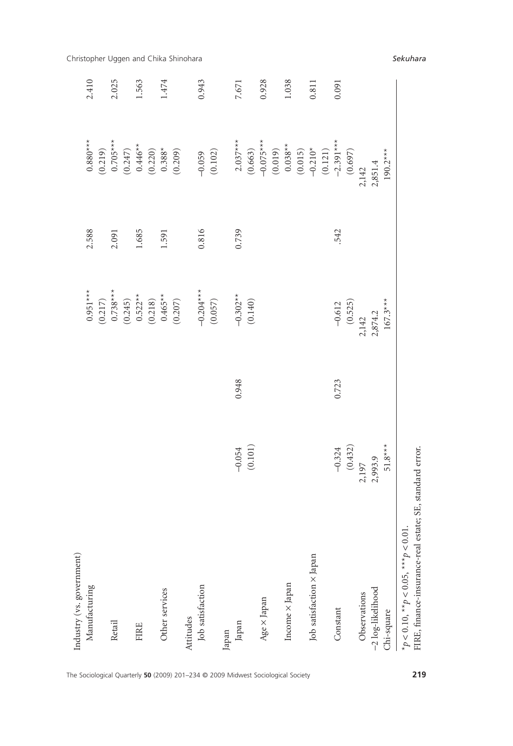| Industry (vs. government)<br>Manufacturing                                             |                                  |       |                                                                                                                                                                                                                                                                                    |       |                                                                                                                                                                                                                                                                                                                              |                                                |
|----------------------------------------------------------------------------------------|----------------------------------|-------|------------------------------------------------------------------------------------------------------------------------------------------------------------------------------------------------------------------------------------------------------------------------------------|-------|------------------------------------------------------------------------------------------------------------------------------------------------------------------------------------------------------------------------------------------------------------------------------------------------------------------------------|------------------------------------------------|
|                                                                                        |                                  |       | $0.951***$                                                                                                                                                                                                                                                                         | 2.588 |                                                                                                                                                                                                                                                                                                                              | 2.410                                          |
|                                                                                        |                                  |       |                                                                                                                                                                                                                                                                                    | 2.091 |                                                                                                                                                                                                                                                                                                                              | 2.025                                          |
|                                                                                        |                                  |       |                                                                                                                                                                                                                                                                                    | 1.685 |                                                                                                                                                                                                                                                                                                                              | 1.563                                          |
| Other services                                                                         |                                  |       | $\begin{array}{c} (0.217)\\0.738^{***}\\(0.245)\\0.522^{**}\\(0.512^{**}\\(0.218)\\0.465^{**}\\(0.405^{**}\\(0.210)\\(0.218)\\(0.3207)\\(0.407)\\(0.207)\\(0.207)\\(0.207)\\(0.207)\\(0.207)\\(0.207)\\(0.207)\\(0.207)\\(0.207)\\(0.207)\\(0.207)\\(0.207)\\(0.207)\\(0.207)\\(0$ | 1.591 | $\begin{array}{l} 0.880^{***} \\ (0.219) \\ (0.705^{***} \\ (0.247) \\ (0.247) \\ (0.446^{**} \\ (0.220) \\ (0.338^{**} \\ (0.308) \\ (0.201) \\ (0.201) \\ (0.209) \\ (0.209) \\ (0.209) \\ (0.200) \\ (0.200) \\ (0.200) \\ (0.200) \\ (0.200) \\ (0.200) \\ (0.200) \\ (0.200) \\ (0.200) \\ (0.200) \\ (0.200) \\ (0.20$ | Christopher Uggen and Chika Shinohara<br>1.474 |
| Job satisfaction                                                                       |                                  |       | $-0.204***$<br>(0.057)                                                                                                                                                                                                                                                             | 0.816 | $-0.059$<br>(0.102)                                                                                                                                                                                                                                                                                                          | 0.943                                          |
|                                                                                        |                                  |       |                                                                                                                                                                                                                                                                                    |       |                                                                                                                                                                                                                                                                                                                              |                                                |
|                                                                                        | $-0.054$ (0.101)                 | 0.948 | $-0.302**$<br>(0.140)                                                                                                                                                                                                                                                              | 0.739 |                                                                                                                                                                                                                                                                                                                              | 7,671                                          |
|                                                                                        |                                  |       |                                                                                                                                                                                                                                                                                    |       |                                                                                                                                                                                                                                                                                                                              | 0.928                                          |
| Income × Japan                                                                         |                                  |       |                                                                                                                                                                                                                                                                                    |       |                                                                                                                                                                                                                                                                                                                              | 1.038                                          |
| Job satisfaction × Japan                                                               |                                  |       |                                                                                                                                                                                                                                                                                    |       | 2.037***<br>(0.663)<br>(0.019)<br>(0.019)<br>(0.015)<br>(0.015)<br>(0.121)<br>(0.697)<br>(0.697)<br>(0.697)                                                                                                                                                                                                                  | 0.811                                          |
|                                                                                        | $-0.324$<br>(0.432)<br>2,197     | 0.723 | $-0.612$<br>(0.525)<br>2,142                                                                                                                                                                                                                                                       | 542   |                                                                                                                                                                                                                                                                                                                              | 0.091                                          |
| -2 log-likelihood<br>Observations                                                      | 2,993.9                          |       | 2,874.2                                                                                                                                                                                                                                                                            |       | 2,851.4                                                                                                                                                                                                                                                                                                                      |                                                |
| FIRE, finance-insurance-real estate;<br>* $p < 0.10$ , ** $p < 0.05$ , ** $p < 0.01$ . | $51.8***$<br>SE, standard error. |       | $167.3***$                                                                                                                                                                                                                                                                         |       | $190.2***$                                                                                                                                                                                                                                                                                                                   |                                                |

The Sociological Quarterly **50** (2009) 201–234 © 2009 Midwest Sociological Society **219**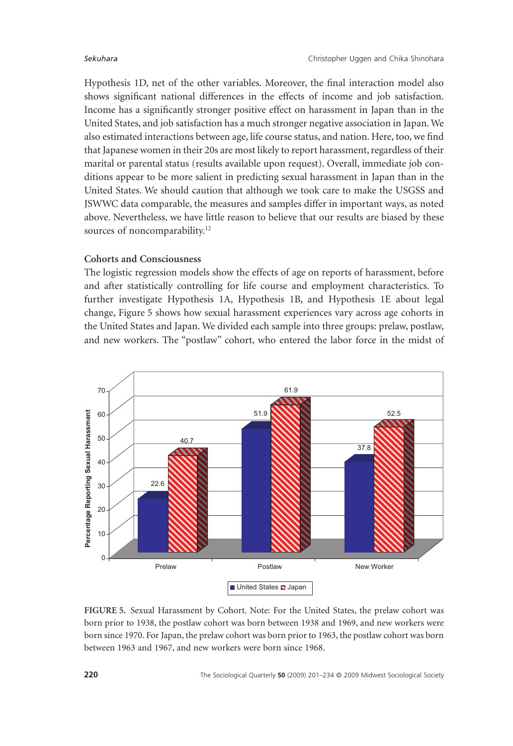Hypothesis 1D, net of the other variables. Moreover, the final interaction model also shows significant national differences in the effects of income and job satisfaction. Income has a significantly stronger positive effect on harassment in Japan than in the United States, and job satisfaction has a much stronger negative association in Japan.We also estimated interactions between age, life course status, and nation. Here, too, we find that Japanese women in their 20s are most likely to report harassment, regardless of their marital or parental status (results available upon request). Overall, immediate job conditions appear to be more salient in predicting sexual harassment in Japan than in the United States. We should caution that although we took care to make the USGSS and JSWWC data comparable, the measures and samples differ in important ways, as noted above. Nevertheless, we have little reason to believe that our results are biased by these sources of noncomparability.<sup>12</sup>

### **Cohorts and Consciousness**

The logistic regression models show the effects of age on reports of harassment, before and after statistically controlling for life course and employment characteristics. To further investigate Hypothesis 1A, Hypothesis 1B, and Hypothesis 1E about legal change, Figure 5 shows how sexual harassment experiences vary across age cohorts in the United States and Japan. We divided each sample into three groups: prelaw, postlaw, and new workers. The "postlaw" cohort, who entered the labor force in the midst of



**FIGURE 5.** Sexual Harassment by Cohort. Note: For the United States, the prelaw cohort was born prior to 1938, the postlaw cohort was born between 1938 and 1969, and new workers were born since 1970. For Japan, the prelaw cohort was born prior to 1963, the postlaw cohort was born between 1963 and 1967, and new workers were born since 1968.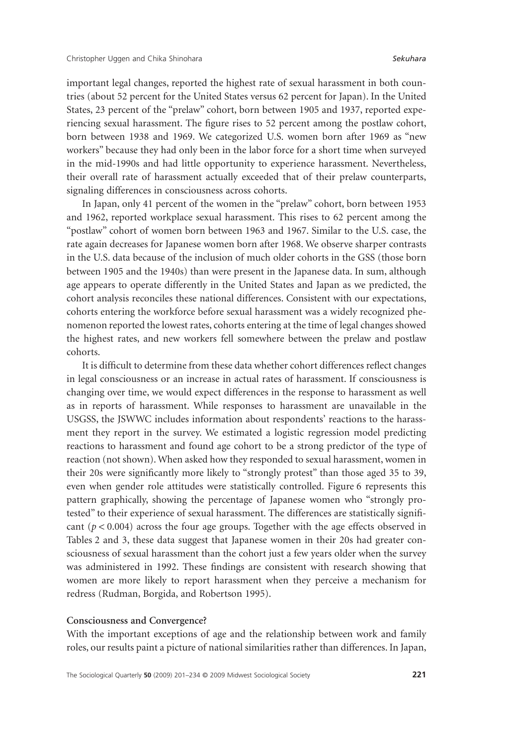important legal changes, reported the highest rate of sexual harassment in both countries (about 52 percent for the United States versus 62 percent for Japan). In the United States, 23 percent of the "prelaw" cohort, born between 1905 and 1937, reported experiencing sexual harassment. The figure rises to 52 percent among the postlaw cohort, born between 1938 and 1969. We categorized U.S. women born after 1969 as "new workers" because they had only been in the labor force for a short time when surveyed in the mid-1990s and had little opportunity to experience harassment. Nevertheless, their overall rate of harassment actually exceeded that of their prelaw counterparts, signaling differences in consciousness across cohorts.

In Japan, only 41 percent of the women in the "prelaw" cohort, born between 1953 and 1962, reported workplace sexual harassment. This rises to 62 percent among the "postlaw" cohort of women born between 1963 and 1967. Similar to the U.S. case, the rate again decreases for Japanese women born after 1968. We observe sharper contrasts in the U.S. data because of the inclusion of much older cohorts in the GSS (those born between 1905 and the 1940s) than were present in the Japanese data. In sum, although age appears to operate differently in the United States and Japan as we predicted, the cohort analysis reconciles these national differences. Consistent with our expectations, cohorts entering the workforce before sexual harassment was a widely recognized phenomenon reported the lowest rates, cohorts entering at the time of legal changes showed the highest rates, and new workers fell somewhere between the prelaw and postlaw cohorts.

It is difficult to determine from these data whether cohort differences reflect changes in legal consciousness or an increase in actual rates of harassment. If consciousness is changing over time, we would expect differences in the response to harassment as well as in reports of harassment. While responses to harassment are unavailable in the USGSS, the JSWWC includes information about respondents' reactions to the harassment they report in the survey. We estimated a logistic regression model predicting reactions to harassment and found age cohort to be a strong predictor of the type of reaction (not shown). When asked how they responded to sexual harassment, women in their 20s were significantly more likely to "strongly protest" than those aged 35 to 39, even when gender role attitudes were statistically controlled. Figure 6 represents this pattern graphically, showing the percentage of Japanese women who "strongly protested" to their experience of sexual harassment. The differences are statistically significant  $(p < 0.004)$  across the four age groups. Together with the age effects observed in Tables 2 and 3, these data suggest that Japanese women in their 20s had greater consciousness of sexual harassment than the cohort just a few years older when the survey was administered in 1992. These findings are consistent with research showing that women are more likely to report harassment when they perceive a mechanism for redress (Rudman, Borgida, and Robertson 1995).

#### **Consciousness and Convergence?**

With the important exceptions of age and the relationship between work and family roles, our results paint a picture of national similarities rather than differences. In Japan,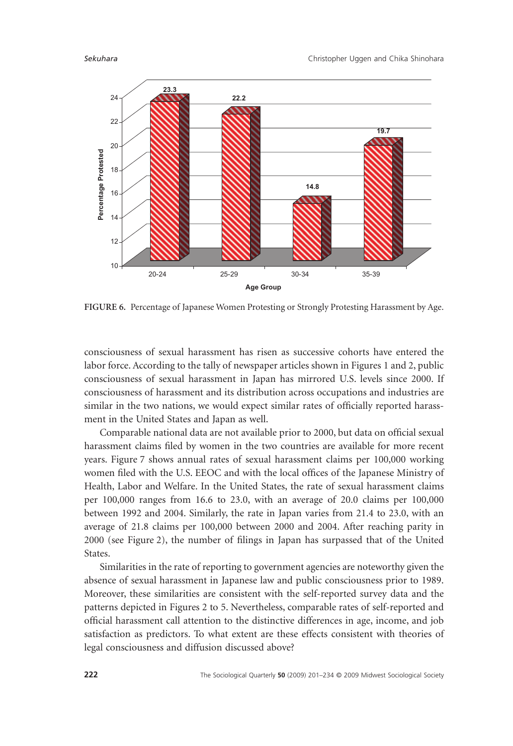

**FIGURE 6.** Percentage of Japanese Women Protesting or Strongly Protesting Harassment by Age.

consciousness of sexual harassment has risen as successive cohorts have entered the labor force. According to the tally of newspaper articles shown in Figures 1 and 2, public consciousness of sexual harassment in Japan has mirrored U.S. levels since 2000. If consciousness of harassment and its distribution across occupations and industries are similar in the two nations, we would expect similar rates of officially reported harassment in the United States and Japan as well.

Comparable national data are not available prior to 2000, but data on official sexual harassment claims filed by women in the two countries are available for more recent years. Figure 7 shows annual rates of sexual harassment claims per 100,000 working women filed with the U.S. EEOC and with the local offices of the Japanese Ministry of Health, Labor and Welfare. In the United States, the rate of sexual harassment claims per 100,000 ranges from 16.6 to 23.0, with an average of 20.0 claims per 100,000 between 1992 and 2004. Similarly, the rate in Japan varies from 21.4 to 23.0, with an average of 21.8 claims per 100,000 between 2000 and 2004. After reaching parity in 2000 (see Figure 2), the number of filings in Japan has surpassed that of the United States.

Similarities in the rate of reporting to government agencies are noteworthy given the absence of sexual harassment in Japanese law and public consciousness prior to 1989. Moreover, these similarities are consistent with the self-reported survey data and the patterns depicted in Figures 2 to 5. Nevertheless, comparable rates of self-reported and official harassment call attention to the distinctive differences in age, income, and job satisfaction as predictors. To what extent are these effects consistent with theories of legal consciousness and diffusion discussed above?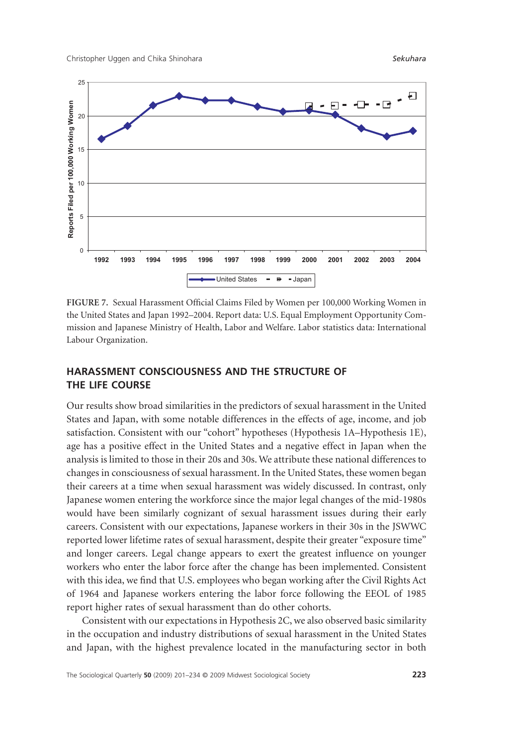

**FIGURE 7.** Sexual Harassment Official Claims Filed by Women per 100,000 Working Women in the United States and Japan 1992–2004. Report data: U.S. Equal Employment Opportunity Commission and Japanese Ministry of Health, Labor and Welfare. Labor statistics data: International Labour Organization.

# **HARASSMENT CONSCIOUSNESS AND THE STRUCTURE OF THE LIFE COURSE**

Our results show broad similarities in the predictors of sexual harassment in the United States and Japan, with some notable differences in the effects of age, income, and job satisfaction. Consistent with our "cohort" hypotheses (Hypothesis 1A–Hypothesis 1E), age has a positive effect in the United States and a negative effect in Japan when the analysis is limited to those in their 20s and 30s.We attribute these national differences to changes in consciousness of sexual harassment. In the United States, these women began their careers at a time when sexual harassment was widely discussed. In contrast, only Japanese women entering the workforce since the major legal changes of the mid-1980s would have been similarly cognizant of sexual harassment issues during their early careers. Consistent with our expectations, Japanese workers in their 30s in the JSWWC reported lower lifetime rates of sexual harassment, despite their greater "exposure time" and longer careers. Legal change appears to exert the greatest influence on younger workers who enter the labor force after the change has been implemented. Consistent with this idea, we find that U.S. employees who began working after the Civil Rights Act of 1964 and Japanese workers entering the labor force following the EEOL of 1985 report higher rates of sexual harassment than do other cohorts.

Consistent with our expectations in Hypothesis 2C, we also observed basic similarity in the occupation and industry distributions of sexual harassment in the United States and Japan, with the highest prevalence located in the manufacturing sector in both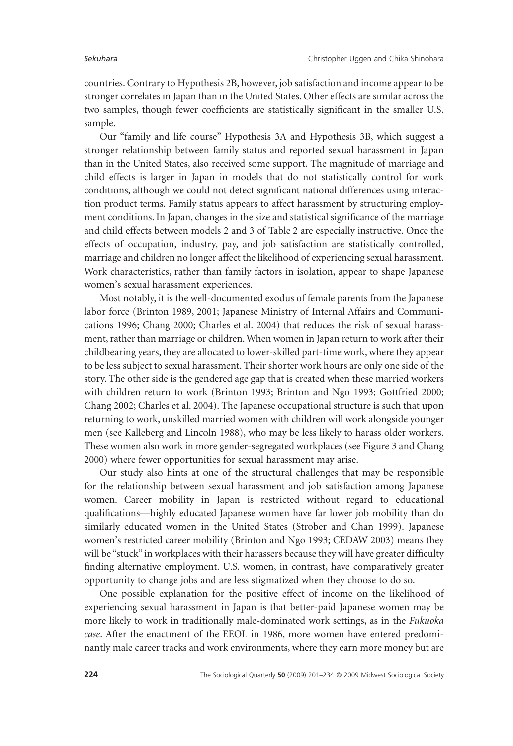countries. Contrary to Hypothesis 2B, however, job satisfaction and income appear to be stronger correlates in Japan than in the United States. Other effects are similar across the two samples, though fewer coefficients are statistically significant in the smaller U.S. sample.

Our "family and life course" Hypothesis 3A and Hypothesis 3B, which suggest a stronger relationship between family status and reported sexual harassment in Japan than in the United States, also received some support. The magnitude of marriage and child effects is larger in Japan in models that do not statistically control for work conditions, although we could not detect significant national differences using interaction product terms. Family status appears to affect harassment by structuring employment conditions. In Japan, changes in the size and statistical significance of the marriage and child effects between models 2 and 3 of Table 2 are especially instructive. Once the effects of occupation, industry, pay, and job satisfaction are statistically controlled, marriage and children no longer affect the likelihood of experiencing sexual harassment. Work characteristics, rather than family factors in isolation, appear to shape Japanese women's sexual harassment experiences.

Most notably, it is the well-documented exodus of female parents from the Japanese labor force (Brinton 1989, 2001; Japanese Ministry of Internal Affairs and Communications 1996; Chang 2000; Charles et al. 2004) that reduces the risk of sexual harassment, rather than marriage or children.When women in Japan return to work after their childbearing years, they are allocated to lower-skilled part-time work, where they appear to be less subject to sexual harassment. Their shorter work hours are only one side of the story. The other side is the gendered age gap that is created when these married workers with children return to work (Brinton 1993; Brinton and Ngo 1993; Gottfried 2000; Chang 2002; Charles et al. 2004). The Japanese occupational structure is such that upon returning to work, unskilled married women with children will work alongside younger men (see Kalleberg and Lincoln 1988), who may be less likely to harass older workers. These women also work in more gender-segregated workplaces (see Figure 3 and Chang 2000) where fewer opportunities for sexual harassment may arise.

Our study also hints at one of the structural challenges that may be responsible for the relationship between sexual harassment and job satisfaction among Japanese women. Career mobility in Japan is restricted without regard to educational qualifications—highly educated Japanese women have far lower job mobility than do similarly educated women in the United States (Strober and Chan 1999). Japanese women's restricted career mobility (Brinton and Ngo 1993; CEDAW 2003) means they will be "stuck" in workplaces with their harassers because they will have greater difficulty finding alternative employment. U.S. women, in contrast, have comparatively greater opportunity to change jobs and are less stigmatized when they choose to do so.

One possible explanation for the positive effect of income on the likelihood of experiencing sexual harassment in Japan is that better-paid Japanese women may be more likely to work in traditionally male-dominated work settings, as in the *Fukuoka case*. After the enactment of the EEOL in 1986, more women have entered predominantly male career tracks and work environments, where they earn more money but are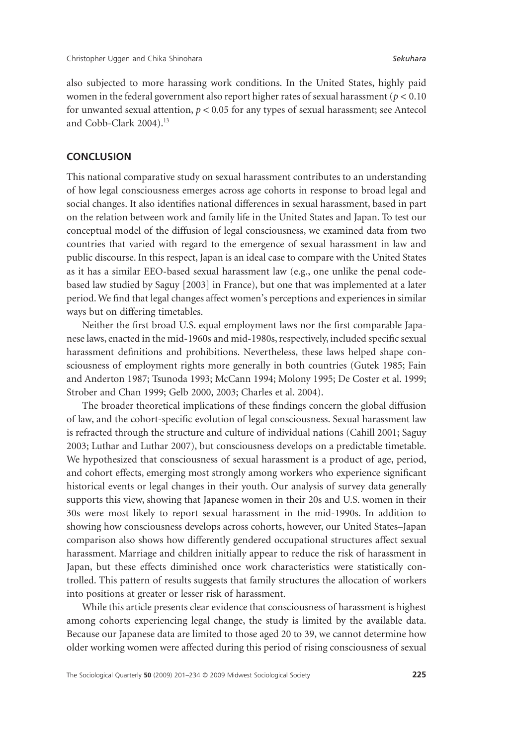also subjected to more harassing work conditions. In the United States, highly paid women in the federal government also report higher rates of sexual harassment (*p* < 0.10 for unwanted sexual attention, *p* < 0.05 for any types of sexual harassment; see Antecol and Cobb-Clark 2004).<sup>13</sup>

### **CONCLUSION**

This national comparative study on sexual harassment contributes to an understanding of how legal consciousness emerges across age cohorts in response to broad legal and social changes. It also identifies national differences in sexual harassment, based in part on the relation between work and family life in the United States and Japan. To test our conceptual model of the diffusion of legal consciousness, we examined data from two countries that varied with regard to the emergence of sexual harassment in law and public discourse. In this respect, Japan is an ideal case to compare with the United States as it has a similar EEO-based sexual harassment law (e.g., one unlike the penal codebased law studied by Saguy [2003] in France), but one that was implemented at a later period.We find that legal changes affect women's perceptions and experiences in similar ways but on differing timetables.

Neither the first broad U.S. equal employment laws nor the first comparable Japanese laws, enacted in the mid-1960s and mid-1980s, respectively, included specific sexual harassment definitions and prohibitions. Nevertheless, these laws helped shape consciousness of employment rights more generally in both countries (Gutek 1985; Fain and Anderton 1987; Tsunoda 1993; McCann 1994; Molony 1995; De Coster et al. 1999; Strober and Chan 1999; Gelb 2000, 2003; Charles et al. 2004).

The broader theoretical implications of these findings concern the global diffusion of law, and the cohort-specific evolution of legal consciousness. Sexual harassment law is refracted through the structure and culture of individual nations (Cahill 2001; Saguy 2003; Luthar and Luthar 2007), but consciousness develops on a predictable timetable. We hypothesized that consciousness of sexual harassment is a product of age, period, and cohort effects, emerging most strongly among workers who experience significant historical events or legal changes in their youth. Our analysis of survey data generally supports this view, showing that Japanese women in their 20s and U.S. women in their 30s were most likely to report sexual harassment in the mid-1990s. In addition to showing how consciousness develops across cohorts, however, our United States–Japan comparison also shows how differently gendered occupational structures affect sexual harassment. Marriage and children initially appear to reduce the risk of harassment in Japan, but these effects diminished once work characteristics were statistically controlled. This pattern of results suggests that family structures the allocation of workers into positions at greater or lesser risk of harassment.

While this article presents clear evidence that consciousness of harassment is highest among cohorts experiencing legal change, the study is limited by the available data. Because our Japanese data are limited to those aged 20 to 39, we cannot determine how older working women were affected during this period of rising consciousness of sexual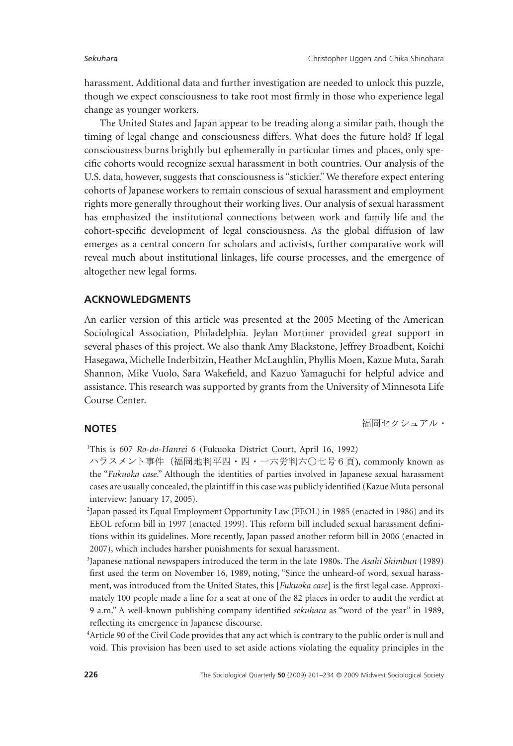harassment. Additional data and further investigation are needed to unlock this puzzle, though we expect consciousness to take root most firmly in those who experience legal change as younger workers.

The United States and Japan appear to be treading along a similar path, though the timing of legal change and consciousness differs. What does the future hold? If legal consciousness burns brightly but ephemerally in particular times and places, only specific cohorts would recognize sexual harassment in both countries. Our analysis of the U.S. data, however, suggests that consciousness is "stickier."We therefore expect entering cohorts of Japanese workers to remain conscious of sexual harassment and employment rights more generally throughout their working lives. Our analysis of sexual harassment has emphasized the institutional connections between work and family life and the cohort-specific development of legal consciousness. As the global diffusion of law emerges as a central concern for scholars and activists, further comparative work will reveal much about institutional linkages, life course processes, and the emergence of altogether new legal forms.

#### **ACKNOWLEDGMENTS**

An earlier version of this article was presented at the 2005 Meeting of the American Sociological Association, Philadelphia. Jeylan Mortimer provided great support in several phases of this project. We also thank Amy Blackstone, Jeffrey Broadbent, Koichi Hasegawa, Michelle Inderbitzin, Heather McLaughlin, Phyllis Moen, Kazue Muta, Sarah Shannon, Mike Vuolo, Sara Wakefield, and Kazuo Yamaguchi for helpful advice and assistance. This research was supported by grants from the University of Minnesota Life Course Center.

### **NOTES**

<sup>1</sup>This is 607 Ro-do-Hanrei 6 (Fukuoka District Court, April 16, 1992)

ハラスメント事件 (福岡地判平四・四・一六労判六○七号6頁), commonly known as the "*Fukuoka case*." Although the identities of parties involved in Japanese sexual harassment cases are usually concealed, the plaintiff in this case was publicly identified (Kazue Muta personal interview: January 17, 2005).

2 Japan passed its Equal Employment Opportunity Law (EEOL) in 1985 (enacted in 1986) and its EEOL reform bill in 1997 (enacted 1999). This reform bill included sexual harassment definitions within its guidelines. More recently, Japan passed another reform bill in 2006 (enacted in 2007), which includes harsher punishments for sexual harassment.

3 Japanese national newspapers introduced the term in the late 1980s. The *Asahi Shimbun* (1989) first used the term on November 16, 1989, noting, "Since the unheard-of word, sexual harassment, was introduced from the United States, this [*Fukuoka case*] is the first legal case. Approximately 100 people made a line for a seat at one of the 82 places in order to audit the verdict at 9 a.m." A well-known publishing company identified *sekuhara* as "word of the year" in 1989, reflecting its emergence in Japanese discourse.

4 Article 90 of the Civil Code provides that any act which is contrary to the public order is null and void. This provision has been used to set aside actions violating the equality principles in the

福岡セクシュアル・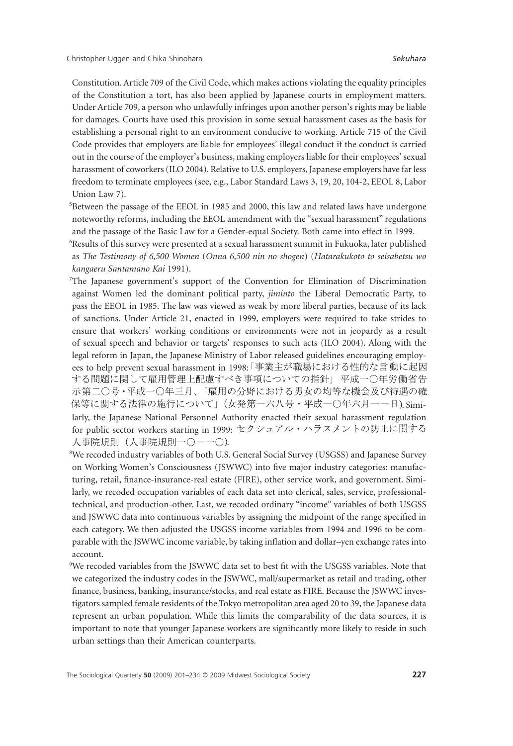Constitution. Article 709 of the Civil Code, which makes actions violating the equality principles of the Constitution a tort, has also been applied by Japanese courts in employment matters. Under Article 709, a person who unlawfully infringes upon another person's rights may be liable for damages. Courts have used this provision in some sexual harassment cases as the basis for establishing a personal right to an environment conducive to working. Article 715 of the Civil Code provides that employers are liable for employees' illegal conduct if the conduct is carried out in the course of the employer's business, making employers liable for their employees' sexual harassment of coworkers (ILO 2004). Relative to U.S. employers, Japanese employers have far less freedom to terminate employees (see, e.g., Labor Standard Laws 3, 19, 20, 104-2, EEOL 8, Labor Union Law 7).

<sup>5</sup>Between the passage of the EEOL in 1985 and 2000, this law and related laws have undergone noteworthy reforms, including the EEOL amendment with the "sexual harassment" regulations and the passage of the Basic Law for a Gender-equal Society. Both came into effect in 1999.

6 Results of this survey were presented at a sexual harassment summit in Fukuoka, later published as *The Testimony of 6,500 Women* (*Onna 6,500 nin no shogen*) (*Hatarakukoto to seisabetsu wo kangaeru Santamano Kai* 1991).

- 7 The Japanese government's support of the Convention for Elimination of Discrimination against Women led the dominant political party, *jiminto* the Liberal Democratic Party, to pass the EEOL in 1985. The law was viewed as weak by more liberal parties, because of its lack of sanctions. Under Article 21, enacted in 1999, employers were required to take strides to ensure that workers' working conditions or environments were not in jeopardy as a result of sexual speech and behavior or targets' responses to such acts (ILO 2004). Along with the legal reform in Japan, the Japanese Ministry of Labor released guidelines encouraging employees to help prevent sexual harassment in 1998: 「事業主が職場における性的な言動に起因 する問題に関して雇用管理上配慮すべき事項についての指針」平成一〇年労働省告 示第二○号・平成一○年三月、「雇用の分野における男女の均等な機会及び待遇の確 保等に関する法律の施行について」(女発第一六八号・平成一〇年六月一一日). Similarly, the Japanese National Personnel Authority enacted their sexual harassment regulation for public sector workers starting in 1999: 人事院規則(人事院規則一〇一一〇).
- 8 We recoded industry variables of both U.S. General Social Survey (USGSS) and Japanese Survey on Working Women's Consciousness (JSWWC) into five major industry categories: manufacturing, retail, finance-insurance-real estate (FIRE), other service work, and government. Similarly, we recoded occupation variables of each data set into clerical, sales, service, professionaltechnical, and production-other. Last, we recoded ordinary "income" variables of both USGSS and JSWWC data into continuous variables by assigning the midpoint of the range specified in each category. We then adjusted the USGSS income variables from 1994 and 1996 to be comparable with the JSWWC income variable, by taking inflation and dollar–yen exchange rates into account.

9 We recoded variables from the JSWWC data set to best fit with the USGSS variables. Note that we categorized the industry codes in the JSWWC, mall/supermarket as retail and trading, other finance, business, banking, insurance/stocks, and real estate as FIRE. Because the JSWWC investigators sampled female residents of the Tokyo metropolitan area aged 20 to 39, the Japanese data represent an urban population. While this limits the comparability of the data sources, it is important to note that younger Japanese workers are significantly more likely to reside in such urban settings than their American counterparts.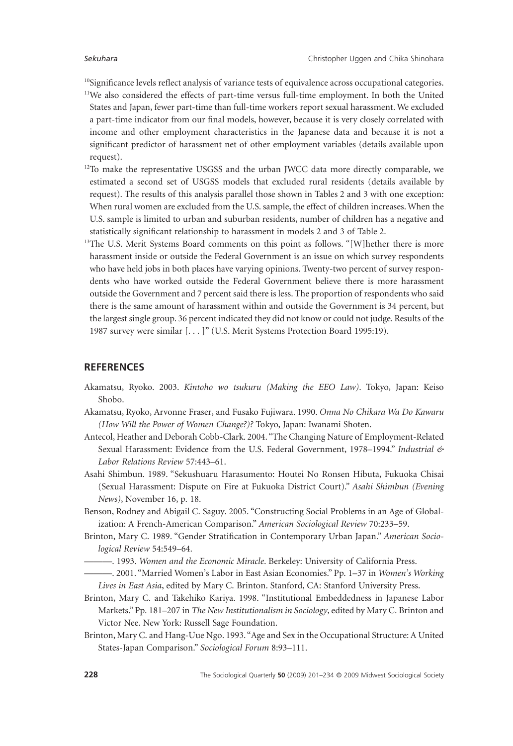<sup>10</sup>Significance levels reflect analysis of variance tests of equivalence across occupational categories.

- 11We also considered the effects of part-time versus full-time employment. In both the United States and Japan, fewer part-time than full-time workers report sexual harassment. We excluded a part-time indicator from our final models, however, because it is very closely correlated with income and other employment characteristics in the Japanese data and because it is not a significant predictor of harassment net of other employment variables (details available upon request).
- $12$ To make the representative USGSS and the urban JWCC data more directly comparable, we estimated a second set of USGSS models that excluded rural residents (details available by request). The results of this analysis parallel those shown in Tables 2 and 3 with one exception: When rural women are excluded from the U.S. sample, the effect of children increases.When the U.S. sample is limited to urban and suburban residents, number of children has a negative and statistically significant relationship to harassment in models 2 and 3 of Table 2.
- <sup>13</sup>The U.S. Merit Systems Board comments on this point as follows. "[W]hether there is more harassment inside or outside the Federal Government is an issue on which survey respondents who have held jobs in both places have varying opinions. Twenty-two percent of survey respondents who have worked outside the Federal Government believe there is more harassment outside the Government and 7 percent said there is less. The proportion of respondents who said there is the same amount of harassment within and outside the Government is 34 percent, but the largest single group. 36 percent indicated they did not know or could not judge. Results of the 1987 survey were similar [. . . ]" (U.S. Merit Systems Protection Board 1995:19).

#### **REFERENCES**

- Akamatsu, Ryoko. 2003. *Kintoho wo tsukuru (Making the EEO Law)*. Tokyo, Japan: Keiso Shobo.
- Akamatsu, Ryoko, Arvonne Fraser, and Fusako Fujiwara. 1990. *Onna No Chikara Wa Do Kawaru (How Will the Power of Women Change?)?* Tokyo, Japan: Iwanami Shoten.
- Antecol, Heather and Deborah Cobb-Clark. 2004. "The Changing Nature of Employment-Related Sexual Harassment: Evidence from the U.S. Federal Government, 1978–1994." *Industrial & Labor Relations Review* 57:443–61.
- Asahi Shimbun. 1989. "Sekushuaru Harasumento: Houtei No Ronsen Hibuta, Fukuoka Chisai (Sexual Harassment: Dispute on Fire at Fukuoka District Court)." *Asahi Shimbun (Evening News)*, November 16, p. 18.
- Benson, Rodney and Abigail C. Saguy. 2005. "Constructing Social Problems in an Age of Globalization: A French-American Comparison." *American Sociological Review* 70:233–59.
- Brinton, Mary C. 1989. "Gender Stratification in Contemporary Urban Japan." *American Sociological Review* 54:549–64.
	- ———. 1993. *Women and the Economic Miracle*. Berkeley: University of California Press.
	- ———. 2001. "Married Women's Labor in East Asian Economies." Pp. 1–37 in *Women's Working Lives in East Asia*, edited by Mary C. Brinton. Stanford, CA: Stanford University Press.
- Brinton, Mary C. and Takehiko Kariya. 1998. "Institutional Embeddedness in Japanese Labor Markets." Pp. 181–207 in *The New Institutionalism in Sociology*, edited by Mary C. Brinton and Victor Nee. New York: Russell Sage Foundation.
- Brinton, Mary C. and Hang-Uue Ngo. 1993."Age and Sex in the Occupational Structure: A United States-Japan Comparison." *Sociological Forum* 8:93–111.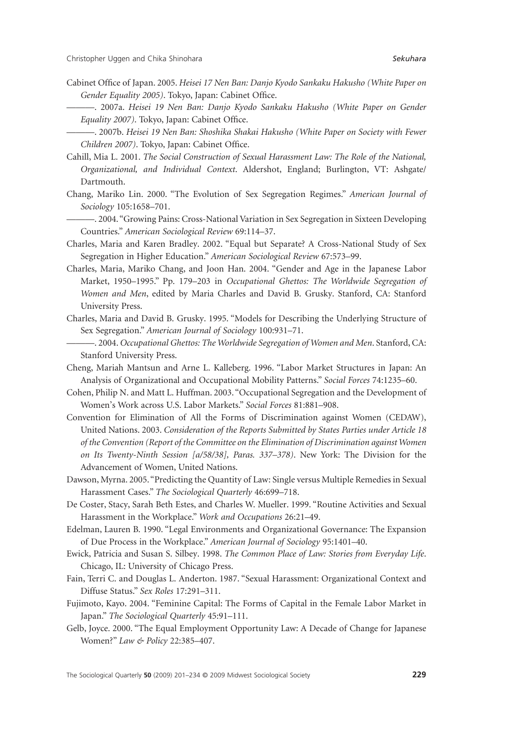- Cabinet Office of Japan. 2005. *Heisei 17 Nen Ban: Danjo Kyodo Sankaku Hakusho (White Paper on Gender Equality 2005)*. Tokyo, Japan: Cabinet Office.
	- ———. 2007a. *Heisei 19 Nen Ban: Danjo Kyodo Sankaku Hakusho (White Paper on Gender Equality 2007)*. Tokyo, Japan: Cabinet Office.
	- ———. 2007b. *Heisei 19 Nen Ban: Shoshika Shakai Hakusho (White Paper on Society with Fewer Children 2007)*. Tokyo, Japan: Cabinet Office.
- Cahill, Mia L. 2001. *The Social Construction of Sexual Harassment Law: The Role of the National, Organizational, and Individual Context*. Aldershot, England; Burlington, VT: Ashgate/ Dartmouth.
- Chang, Mariko Lin. 2000. "The Evolution of Sex Segregation Regimes." *American Journal of Sociology* 105:1658–701.
- ———. 2004. "Growing Pains: Cross-National Variation in Sex Segregation in Sixteen Developing Countries." *American Sociological Review* 69:114–37.
- Charles, Maria and Karen Bradley. 2002. "Equal but Separate? A Cross-National Study of Sex Segregation in Higher Education." *American Sociological Review* 67:573–99.
- Charles, Maria, Mariko Chang, and Joon Han. 2004. "Gender and Age in the Japanese Labor Market, 1950–1995." Pp. 179–203 in *Occupational Ghettos: The Worldwide Segregation of Women and Men*, edited by Maria Charles and David B. Grusky. Stanford, CA: Stanford University Press.
- Charles, Maria and David B. Grusky. 1995. "Models for Describing the Underlying Structure of Sex Segregation." *American Journal of Sociology* 100:931–71.
- ———. 2004. *Occupational Ghettos: The Worldwide Segregation of Women and Men*. Stanford, CA: Stanford University Press.
- Cheng, Mariah Mantsun and Arne L. Kalleberg. 1996. "Labor Market Structures in Japan: An Analysis of Organizational and Occupational Mobility Patterns." *Social Forces* 74:1235–60.
- Cohen, Philip N. and Matt L. Huffman. 2003. "Occupational Segregation and the Development of Women's Work across U.S. Labor Markets." *Social Forces* 81:881–908.
- Convention for Elimination of All the Forms of Discrimination against Women (CEDAW), United Nations. 2003. *Consideration of the Reports Submitted by States Parties under Article 18 of the Convention (Report of the Committee on the Elimination of Discrimination against Women on Its Twenty-Ninth Session [a/58/38], Paras. 337–378)*. New York: The Division for the Advancement of Women, United Nations.
- Dawson, Myrna. 2005. "Predicting the Quantity of Law: Single versus Multiple Remedies in Sexual Harassment Cases." *The Sociological Quarterly* 46:699–718.
- De Coster, Stacy, Sarah Beth Estes, and Charles W. Mueller. 1999. "Routine Activities and Sexual Harassment in the Workplace." *Work and Occupations* 26:21–49.
- Edelman, Lauren B. 1990. "Legal Environments and Organizational Governance: The Expansion of Due Process in the Workplace." *American Journal of Sociology* 95:1401–40.
- Ewick, Patricia and Susan S. Silbey. 1998. *The Common Place of Law: Stories from Everyday Life*. Chicago, IL: University of Chicago Press.
- Fain, Terri C. and Douglas L. Anderton. 1987. "Sexual Harassment: Organizational Context and Diffuse Status." *Sex Roles* 17:291–311.
- Fujimoto, Kayo. 2004. "Feminine Capital: The Forms of Capital in the Female Labor Market in Japan." *The Sociological Quarterly* 45:91–111.
- Gelb, Joyce. 2000. "The Equal Employment Opportunity Law: A Decade of Change for Japanese Women?" *Law & Policy* 22:385–407.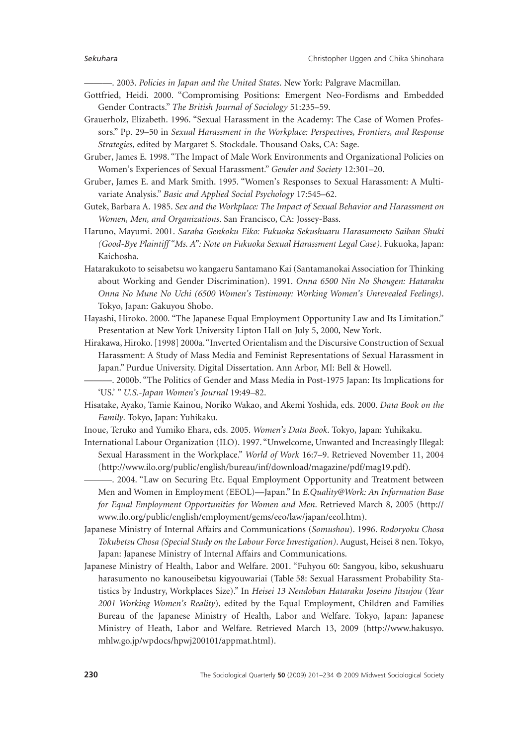———. 2003. *Policies in Japan and the United States*. New York: Palgrave Macmillan.

- Gottfried, Heidi. 2000. "Compromising Positions: Emergent Neo-Fordisms and Embedded Gender Contracts." *The British Journal of Sociology* 51:235–59.
- Grauerholz, Elizabeth. 1996. "Sexual Harassment in the Academy: The Case of Women Professors." Pp. 29–50 in *Sexual Harassment in the Workplace: Perspectives, Frontiers, and Response Strategies*, edited by Margaret S. Stockdale. Thousand Oaks, CA: Sage.

Gruber, James E. 1998. "The Impact of Male Work Environments and Organizational Policies on Women's Experiences of Sexual Harassment." *Gender and Society* 12:301–20.

- Gruber, James E. and Mark Smith. 1995. "Women's Responses to Sexual Harassment: A Multivariate Analysis." *Basic and Applied Social Psychology* 17:545–62.
- Gutek, Barbara A. 1985. *Sex and the Workplace: The Impact of Sexual Behavior and Harassment on Women, Men, and Organizations*. San Francisco, CA: Jossey-Bass.
- Haruno, Mayumi. 2001. *Saraba Genkoku Eiko: Fukuoka Sekushuaru Harasumento Saiban Shuki (Good-Bye Plaintiff "Ms. A": Note on Fukuoka Sexual Harassment Legal Case)*. Fukuoka, Japan: Kaichosha.
- Hatarakukoto to seisabetsu wo kangaeru Santamano Kai (Santamanokai Association for Thinking about Working and Gender Discrimination). 1991. *Onna 6500 Nin No Shougen: Hataraku Onna No Mune No Uchi (6500 Women's Testimony: Working Women's Unrevealed Feelings)*. Tokyo, Japan: Gakuyou Shobo.
- Hayashi, Hiroko. 2000. "The Japanese Equal Employment Opportunity Law and Its Limitation." Presentation at New York University Lipton Hall on July 5, 2000, New York.
- Hirakawa, Hiroko. [1998] 2000a."Inverted Orientalism and the Discursive Construction of Sexual Harassment: A Study of Mass Media and Feminist Representations of Sexual Harassment in Japan." Purdue University. Digital Dissertation. Ann Arbor, MI: Bell & Howell.
- ———. 2000b. "The Politics of Gender and Mass Media in Post-1975 Japan: Its Implications for 'US.' " *U.S.-Japan Women's Journal* 19:49–82.
- Hisatake, Ayako, Tamie Kainou, Noriko Wakao, and Akemi Yoshida, eds. 2000. *Data Book on the Family*. Tokyo, Japan: Yuhikaku.
- Inoue, Teruko and Yumiko Ehara, eds. 2005. *Women's Data Book*. Tokyo, Japan: Yuhikaku.
- International Labour Organization (ILO). 1997. "Unwelcome, Unwanted and Increasingly Illegal: Sexual Harassment in the Workplace." *World of Work* 16:7–9. Retrieved November 11, 2004 [\(http://www.ilo.org/public/english/bureau/inf/download/magazine/pdf/mag19.pd](http://www.ilo.org/public/english/bureau/inf/download/magazine/pdf/mag19.pdf)f).
	- ———. 2004. "Law on Securing Etc. Equal Employment Opportunity and Treatment between Men and Women in Employment (EEOL)—Japan." In *E.Quality@Work: An Information Base for Equal Employment Opportunities for Women and Men*. Retrieved March 8, 2005 ([http://](http://www.ilo.org/public/english/employment/gems/eeo/law/japan/eeol.htm) [www.ilo.org/public/english/employment/gems/eeo/law/japan/eeol.htm\).](http://www.ilo.org/public/english/employment/gems/eeo/law/japan/eeol.htm)
- Japanese Ministry of Internal Affairs and Communications (*Somushou*). 1996. *Rodoryoku Chosa Tokubetsu Chosa (Special Study on the Labour Force Investigation)*. August, Heisei 8 nen. Tokyo, Japan: Japanese Ministry of Internal Affairs and Communications.
- Japanese Ministry of Health, Labor and Welfare. 2001. "Fuhyou 60: Sangyou, kibo, sekushuaru harasumento no kanouseibetsu kigyouwariai (Table 58: Sexual Harassment Probability Statistics by Industry, Workplaces Size)." In *Heisei 13 Nendoban Hataraku Joseino Jitsujou* (*Year 2001 Working Women's Reality*), edited by the Equal Employment, Children and Families Bureau of the Japanese Ministry of Health, Labor and Welfare. Tokyo, Japan: Japanese Ministry of Heath, Labor and Welfare. Retrieved March 13, 2009 ([http://www.hakusyo.](http://www.hakusyo.mhlw.go.jp/wpdocs/hpwj200101/appmat.html) [mhlw.go.jp/wpdocs/hpwj200101/appmat.html\).](http://www.hakusyo.mhlw.go.jp/wpdocs/hpwj200101/appmat.html)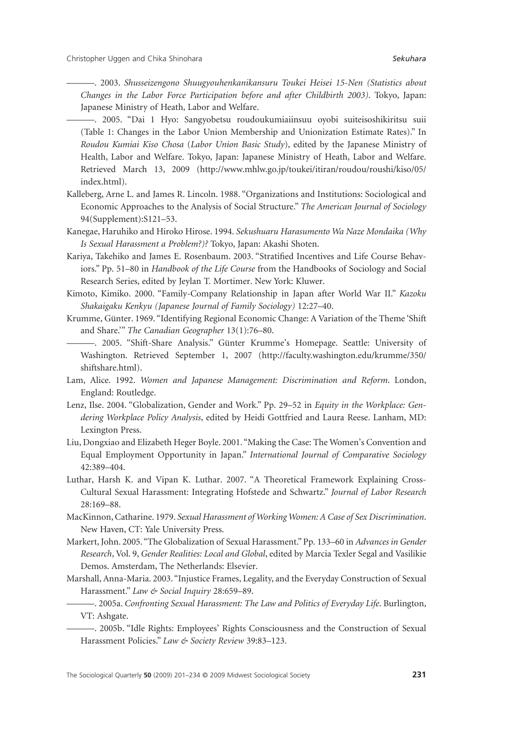———. 2003. *Shusseizengono Shuugyouhenkanikansuru Toukei Heisei 15-Nen (Statistics about Changes in the Labor Force Participation before and after Childbirth 2003)*. Tokyo, Japan: Japanese Ministry of Heath, Labor and Welfare.

- ———. 2005. "Dai 1 Hyo: Sangyobetsu roudoukumiaiinsuu oyobi suiteisoshikiritsu suii (Table 1: Changes in the Labor Union Membership and Unionization Estimate Rates)." In *Roudou Kumiai Kiso Chosa* (*Labor Union Basic Study*), edited by the Japanese Ministry of Health, Labor and Welfare. Tokyo, Japan: Japanese Ministry of Heath, Labor and Welfare. Retrieved March 13, 2009 [\(http://www.mhlw.go.jp/toukei/itiran/roudou/roushi/kiso/05/](http://www.mhlw.go.jp/toukei/itiran/roudou/roushi/kiso/05/index.html) [index.html\).](http://www.mhlw.go.jp/toukei/itiran/roudou/roushi/kiso/05/index.html)
- Kalleberg, Arne L. and James R. Lincoln. 1988. "Organizations and Institutions: Sociological and Economic Approaches to the Analysis of Social Structure." *The American Journal of Sociology* 94(Supplement):S121–53.
- Kanegae, Haruhiko and Hiroko Hirose. 1994. *Sekushuaru Harasumento Wa Naze Mondaika (Why Is Sexual Harassment a Problem?)?* Tokyo, Japan: Akashi Shoten.
- Kariya, Takehiko and James E. Rosenbaum. 2003. "Stratified Incentives and Life Course Behaviors." Pp. 51–80 in *Handbook of the Life Course* from the Handbooks of Sociology and Social Research Series, edited by Jeylan T. Mortimer. New York: Kluwer.
- Kimoto, Kimiko. 2000. "Family-Company Relationship in Japan after World War II." *Kazoku Shakaigaku Kenkyu (Japanese Journal of Family Sociology)* 12:27–40.
- Krumme, Günter. 1969. "Identifying Regional Economic Change: A Variation of the Theme 'Shift and Share.'" *The Canadian Geographer* 13(1):76–80.
	- ———. 2005. "Shift-Share Analysis." Günter Krumme's Homepage. Seattle: University of Washington. Retrieved September 1, 2007 ([http://faculty.washington.edu/krumme/35](http://faculty.washington.edu/krumme/350/shiftshare.html)0/ [shiftshare.htm](http://faculty.washington.edu/krumme/350/shiftshare.html)l).
- Lam, Alice. 1992. *Women and Japanese Management: Discrimination and Reform*. London, England: Routledge.
- Lenz, Ilse. 2004. "Globalization, Gender and Work." Pp. 29–52 in *Equity in the Workplace: Gendering Workplace Policy Analysis*, edited by Heidi Gottfried and Laura Reese. Lanham, MD: Lexington Press.
- Liu, Dongxiao and Elizabeth Heger Boyle. 2001. "Making the Case: The Women's Convention and Equal Employment Opportunity in Japan." *International Journal of Comparative Sociology* 42:389–404.
- Luthar, Harsh K. and Vipan K. Luthar. 2007. "A Theoretical Framework Explaining Cross-Cultural Sexual Harassment: Integrating Hofstede and Schwartz." *Journal of Labor Research* 28:169–88.
- MacKinnon, Catharine. 1979. *Sexual Harassment of Working Women: A Case of Sex Discrimination*. New Haven, CT: Yale University Press.
- Markert, John. 2005. "The Globalization of Sexual Harassment." Pp. 133–60 in *Advances in Gender Research*, Vol. 9, *Gender Realities: Local and Global*, edited by Marcia Texler Segal and Vasilikie Demos. Amsterdam, The Netherlands: Elsevier.
- Marshall, Anna-Maria. 2003. "Injustice Frames, Legality, and the Everyday Construction of Sexual Harassment." *Law & Social Inquiry* 28:659–89.
	- ———. 2005a. *Confronting Sexual Harassment: The Law and Politics of Everyday Life*. Burlington, VT: Ashgate.

———. 2005b. "Idle Rights: Employees' Rights Consciousness and the Construction of Sexual Harassment Policies." *Law & Society Review* 39:83–123.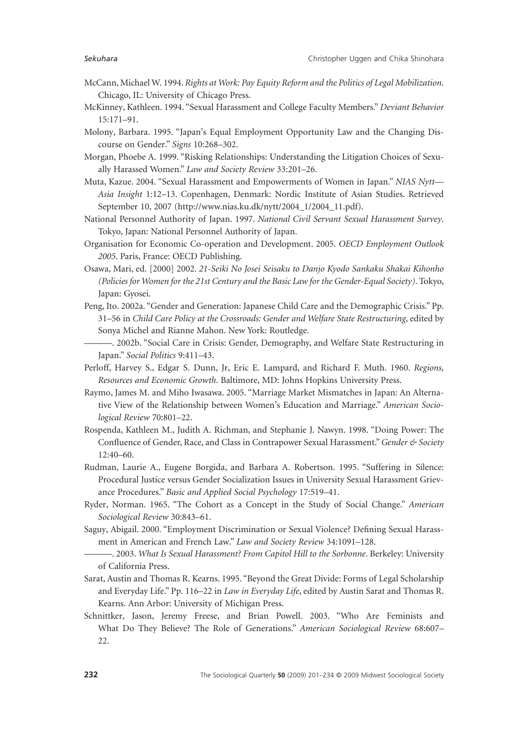- McCann, Michael W. 1994. *Rights at Work: Pay Equity Reform and the Politics of Legal Mobilization*. Chicago, IL: University of Chicago Press.
- McKinney, Kathleen. 1994. "Sexual Harassment and College Faculty Members." *Deviant Behavior* 15:171–91.
- Molony, Barbara. 1995. "Japan's Equal Employment Opportunity Law and the Changing Discourse on Gender." *Signs* 10:268–302.
- Morgan, Phoebe A. 1999. "Risking Relationships: Understanding the Litigation Choices of Sexually Harassed Women." *Law and Society Review* 33:201–26.
- Muta, Kazue. 2004. "Sexual Harassment and Empowerments of Women in Japan." *NIAS Nytt— Asia Insight* 1:12–13. Copenhagen, Denmark: Nordic Institute of Asian Studies. Retrieved September 10, 2007 ([http://www.nias.ku.dk/nytt/2004\\_1/2004\\_11.pd](http://www.nias.ku.dk/nytt/2004_1/2004_11.pdf)f).
- National Personnel Authority of Japan. 1997. *National Civil Servant Sexual Harassment Survey*. Tokyo, Japan: National Personnel Authority of Japan.
- Organisation for Economic Co-operation and Development. 2005. *OECD Employment Outlook 2005*. Paris, France: OECD Publishing.
- Osawa, Mari, ed. [2000] 2002. *21-Seiki No Josei Seisaku to Danjo Kyodo Sankaku Shakai Kihonho (Policies for Women for the 21st Century and the Basic Law for the Gender-Equal Society)*. Tokyo, Japan: Gyosei.
- Peng, Ito. 2002a. "Gender and Generation: Japanese Child Care and the Demographic Crisis." Pp. 31–56 in *Child Care Policy at the Crossroads: Gender and Welfare State Restructuring*, edited by Sonya Michel and Rianne Mahon. New York: Routledge.
- ———. 2002b. "Social Care in Crisis: Gender, Demography, and Welfare State Restructuring in Japan." *Social Politics* 9:411–43.
- Perloff, Harvey S., Edgar S. Dunn, Jr, Eric E. Lampard, and Richard F. Muth. 1960. *Regions, Resources and Economic Growth*. Baltimore, MD: Johns Hopkins University Press.
- Raymo, James M. and Miho Iwasawa. 2005. "Marriage Market Mismatches in Japan: An Alternative View of the Relationship between Women's Education and Marriage." *American Sociological Review* 70:801–22.
- Rospenda, Kathleen M., Judith A. Richman, and Stephanie J. Nawyn. 1998. "Doing Power: The Confluence of Gender, Race, and Class in Contrapower Sexual Harassment."*Gender & Society* 12:40–60.
- Rudman, Laurie A., Eugene Borgida, and Barbara A. Robertson. 1995. "Suffering in Silence: Procedural Justice versus Gender Socialization Issues in University Sexual Harassment Grievance Procedures." *Basic and Applied Social Psychology* 17:519–41.
- Ryder, Norman. 1965. "The Cohort as a Concept in the Study of Social Change." *American Sociological Review* 30:843–61.
- Saguy, Abigail. 2000. "Employment Discrimination or Sexual Violence? Defining Sexual Harassment in American and French Law." *Law and Society Review* 34:1091–128.
- ———. 2003. *What Is Sexual Harassment? From Capitol Hill to the Sorbonne*. Berkeley: University of California Press.
- Sarat, Austin and Thomas R. Kearns. 1995. "Beyond the Great Divide: Forms of Legal Scholarship and Everyday Life." Pp. 116–22 in *Law in Everyday Life*, edited by Austin Sarat and Thomas R. Kearns. Ann Arbor: University of Michigan Press.
- Schnittker, Jason, Jeremy Freese, and Brian Powell. 2003. "Who Are Feminists and What Do They Believe? The Role of Generations." *American Sociological Review* 68:607– 22.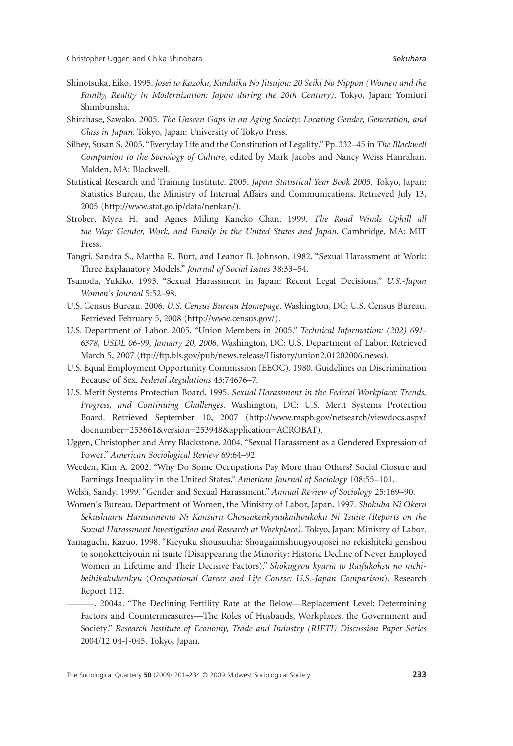- Shinotsuka, Eiko. 1995. *Josei to Kazoku, Kindaika No Jitsujou: 20 Seiki No Nippon (Women and the Family, Reality in Modernization: Japan during the 20th Century)*. Tokyo, Japan: Yomiuri Shimbunsha.
- Shirahase, Sawako. 2005. *The Unseen Gaps in an Aging Society: Locating Gender, Generation, and Class in Japan*. Tokyo, Japan: University of Tokyo Press.
- Silbey, Susan S. 2005."Everyday Life and the Constitution of Legality." Pp. 332–45 in *The Blackwell Companion to the Sociology of Culture*, edited by Mark Jacobs and Nancy Weiss Hanrahan. Malden, MA: Blackwell.
- Statistical Research and Training Institute. 2005. *Japan Statistical Year Book 2005*. Tokyo, Japan: Statistics Bureau, the Ministry of Internal Affairs and Communications. Retrieved July 13, 2005 ([http://www.stat.go.jp/data/nenkan/\).](http://www.stat.go.jp/data/nenkan)
- Strober, Myra H. and Agnes Miling Kaneko Chan. 1999. *The Road Winds Uphill all the Way: Gender, Work, and Family in the United States and Japan*. Cambridge, MA: MIT Press.
- Tangri, Sandra S., Martha R. Burt, and Leanor B. Johnson. 1982. "Sexual Harassment at Work: Three Explanatory Models." *Journal of Social Issues* 38:33–54.
- Tsunoda, Yukiko. 1993. "Sexual Harassment in Japan: Recent Legal Decisions." *U.S.-Japan Women's Journal* 5:52–98.
- U.S. Census Bureau. 2006. *U.S. Census Bureau Homepage*. Washington, DC: U.S. Census Bureau. Retrieved February 5, 2008 [\(http://www.census.gov/\).](http://www.census.gov)
- U.S. Department of Labor. 2005. "Union Members in 2005." *Technical Information: (202) 691- 6378, USDL 06-99, January 20, 2006*. Washington, DC: U.S. Department of Labor. Retrieved March 5, 2007 [\(ftp://ftp.bls.gov/pub/news.release/History/union2.01202006.news](ftp://ftp.bls.gov/pub/news.release/History/union2.01202006.news)).
- U.S. Equal Employment Opportunity Commission (EEOC). 1980. Guidelines on Discrimination Because of Sex. *Federal Regulations* 43:74676–7.
- U.S. Merit Systems Protection Board. 1995. *Sexual Harassment in the Federal Workplace: Trends, Progress, and Continuing Challenges*. Washington, DC: U.S. Merit Systems Protection Board. Retrieved September 10, 2007 [\(http://www.mspb.gov/netsearch/viewdocs.asp](http://www.mspb.gov/netsearch/viewdocs.aspx?docnumber=253661&version=253948&application=ACROBAT)x? [docnumber=253661&version=253948&application=ACROBAT](http://www.mspb.gov/netsearch/viewdocs.aspx?docnumber=253661&version=253948&application=ACROBAT)).
- Uggen, Christopher and Amy Blackstone. 2004. "Sexual Harassment as a Gendered Expression of Power." *American Sociological Review* 69:64–92.
- Weeden, Kim A. 2002. "Why Do Some Occupations Pay More than Others? Social Closure and Earnings Inequality in the United States." *American Journal of Sociology* 108:55–101.
- Welsh, Sandy. 1999. "Gender and Sexual Harassment." *Annual Review of Sociology* 25:169–90.

Women's Bureau, Department of Women, the Ministry of Labor, Japan. 1997. *Shokuba Ni Okeru Sekushuaru Harasumento Ni Kansuru Chousakenkyuukaihoukoku Ni Tsuite (Reports on the Sexual Harassment Investigation and Research at Workplace)*. Tokyo, Japan: Ministry of Labor.

- Yamaguchi, Kazuo. 1998. "Kieyuku shousuuha: Shougaimishuugyoujosei no rekishiteki genshou to sonoketteiyouin ni tsuite (Disappearing the Minority: Historic Decline of Never Employed Women in Lifetime and Their Decisive Factors)." *Shokugyou kyaria to Raifukohsu no nichibeihikakukenkyu* (*Occupational Career and Life Course: U.S.-Japan Comparison*). Research Report 112.
	- ———. 2004a. "The Declining Fertility Rate at the Below—Replacement Level: Determining Factors and Countermeasures—The Roles of Husbands, Workplaces, the Government and Society." *Research Institute of Economy, Trade and Industry (RIETI) Discussion Paper Series* 2004/12 04-J-045. Tokyo, Japan.